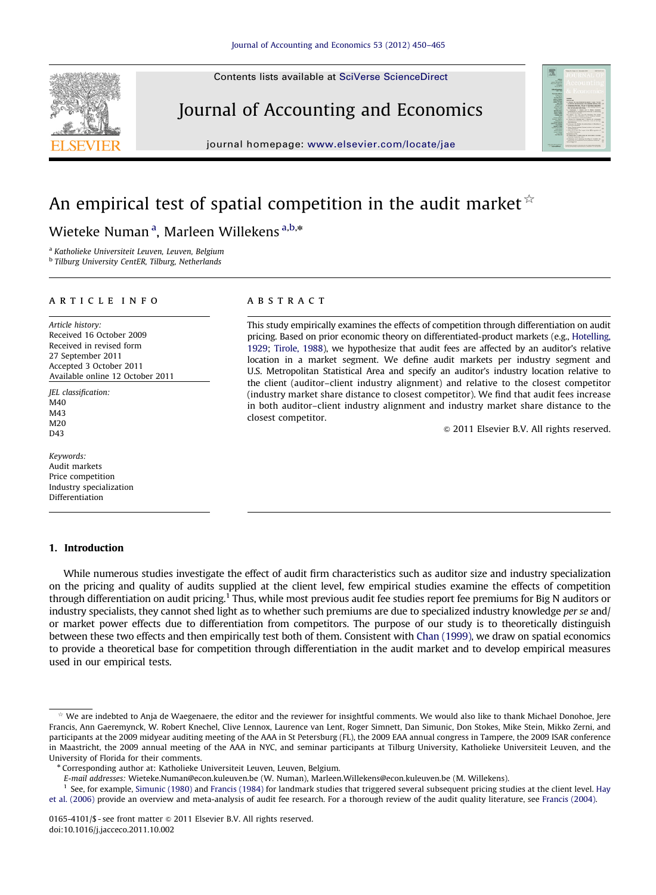Contents lists available at [SciVerse ScienceDirect](www.elsevier.com/locate/jae)



# Journal of Accounting and Economics



journal homepage: <www.elsevier.com/locate/jae>

# An empirical test of spatial competition in the audit market  $\dot{x}$

Wieteke Numan<sup>a</sup>, Marleen Willekens<sup>a,b,</sup>\*

<sup>a</sup> Katholieke Universiteit Leuven, Leuven, Belgium **b Tilburg University CentER, Tilburg, Netherlands** 

#### article info

Article history: Received 16 October 2009 Received in revised form 27 September 2011 Accepted 3 October 2011 Available online 12 October 2011

JEL classification: M40 M43 M20 D43

Keywords: Audit markets Price competition Industry specialization Differentiation

#### 1. Introduction

# **ABSTRACT**

This study empirically examines the effects of competition through differentiation on audit pricing. Based on prior economic theory on differentiated-product markets (e.g., [Hotelling,](#page-15-0) [1929](#page-15-0); [Tirole, 1988](#page-15-0)), we hypothesize that audit fees are affected by an auditor's relative location in a market segment. We define audit markets per industry segment and U.S. Metropolitan Statistical Area and specify an auditor's industry location relative to the client (auditor–client industry alignment) and relative to the closest competitor (industry market share distance to closest competitor). We find that audit fees increase in both auditor–client industry alignment and industry market share distance to the closest competitor.

 $\odot$  2011 Elsevier B.V. All rights reserved.

While numerous studies investigate the effect of audit firm characteristics such as auditor size and industry specialization on the pricing and quality of audits supplied at the client level, few empirical studies examine the effects of competition through differentiation on audit pricing.<sup>1</sup> Thus, while most previous audit fee studies report fee premiums for Big N auditors or industry specialists, they cannot shed light as to whether such premiums are due to specialized industry knowledge per se and/ or market power effects due to differentiation from competitors. The purpose of our study is to theoretically distinguish between these two effects and then empirically test both of them. Consistent with [Chan \(1999\)](#page-14-0), we draw on spatial economics to provide a theoretical base for competition through differentiation in the audit market and to develop empirical measures used in our empirical tests.

We are indebted to Anja de Waegenaere, the editor and the reviewer for insightful comments. We would also like to thank Michael Donohoe, Jere Francis, Ann Gaeremynck, W. Robert Knechel, Clive Lennox, Laurence van Lent, Roger Simnett, Dan Simunic, Don Stokes, Mike Stein, Mikko Zerni, and participants at the 2009 midyear auditing meeting of the AAA in St Petersburg (FL), the 2009 EAA annual congress in Tampere, the 2009 ISAR conference in Maastricht, the 2009 annual meeting of the AAA in NYC, and seminar participants at Tilburg University, Katholieke Universiteit Leuven, and the University of Florida for their comments.

Corresponding author at: Katholieke Universiteit Leuven, Leuven, Belgium.

E-mail addresses: [Wieteke.Numan@econ.kuleuven.be \(W. Numan\),](mailto:Wieteke.Numan@econ.kuleuven.be) [Marleen.Willekens@econ.kuleuven.be \(M. Willekens\)](mailto:Marleen.Willekens@econ.kuleuven.be).

 $<sup>1</sup>$  See, for example, [Simunic \(1980\)](#page-15-0) and [Francis \(1984\)](#page-15-0) for landmark studies that triggered several subsequent pricing studies at the client level. [Hay](#page-15-0)</sup> [et al. \(2006\)](#page-15-0) provide an overview and meta-analysis of audit fee research. For a thorough review of the audit quality literature, see [Francis \(2004\)](#page-15-0).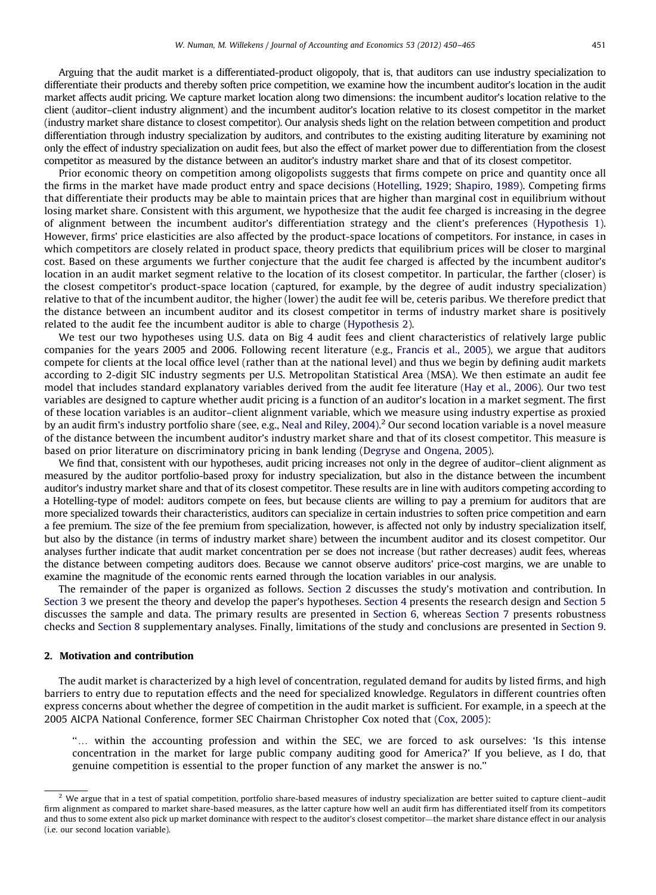Arguing that the audit market is a differentiated-product oligopoly, that is, that auditors can use industry specialization to differentiate their products and thereby soften price competition, we examine how the incumbent auditor's location in the audit market affects audit pricing. We capture market location along two dimensions: the incumbent auditor's location relative to the client (auditor–client industry alignment) and the incumbent auditor's location relative to its closest competitor in the market (industry market share distance to closest competitor). Our analysis sheds light on the relation between competition and product differentiation through industry specialization by auditors, and contributes to the existing auditing literature by examining not only the effect of industry specialization on audit fees, but also the effect of market power due to differentiation from the closest competitor as measured by the distance between an auditor's industry market share and that of its closest competitor.

Prior economic theory on competition among oligopolists suggests that firms compete on price and quantity once all the firms in the market have made product entry and space decisions [\(Hotelling, 1929](#page-15-0); [Shapiro, 1989\)](#page-15-0). Competing firms that differentiate their products may be able to maintain prices that are higher than marginal cost in equilibrium without losing market share. Consistent with this argument, we hypothesize that the audit fee charged is increasing in the degree of alignment between the incumbent auditor's differentiation strategy and the client's preferences ([Hypothesis 1](#page-3-0)). However, firms' price elasticities are also affected by the product-space locations of competitors. For instance, in cases in which competitors are closely related in product space, theory predicts that equilibrium prices will be closer to marginal cost. Based on these arguments we further conjecture that the audit fee charged is affected by the incumbent auditor's location in an audit market segment relative to the location of its closest competitor. In particular, the farther (closer) is the closest competitor's product-space location (captured, for example, by the degree of audit industry specialization) relative to that of the incumbent auditor, the higher (lower) the audit fee will be, ceteris paribus. We therefore predict that the distance between an incumbent auditor and its closest competitor in terms of industry market share is positively related to the audit fee the incumbent auditor is able to charge ([Hypothesis 2\)](#page-3-0).

We test our two hypotheses using U.S. data on Big 4 audit fees and client characteristics of relatively large public companies for the years 2005 and 2006. Following recent literature (e.g., [Francis et al., 2005](#page-15-0)), we argue that auditors compete for clients at the local office level (rather than at the national level) and thus we begin by defining audit markets according to 2-digit SIC industry segments per U.S. Metropolitan Statistical Area (MSA). We then estimate an audit fee model that includes standard explanatory variables derived from the audit fee literature ([Hay et al., 2006](#page-15-0)). Our two test variables are designed to capture whether audit pricing is a function of an auditor's location in a market segment. The first of these location variables is an auditor–client alignment variable, which we measure using industry expertise as proxied by an audit firm's industry portfolio share (see, e.g., [Neal and Riley, 2004\)](#page-15-0).<sup>2</sup> Our second location variable is a novel measure of the distance between the incumbent auditor's industry market share and that of its closest competitor. This measure is based on prior literature on discriminatory pricing in bank lending ([Degryse and Ongena, 2005](#page-14-0)).

We find that, consistent with our hypotheses, audit pricing increases not only in the degree of auditor–client alignment as measured by the auditor portfolio-based proxy for industry specialization, but also in the distance between the incumbent auditor's industry market share and that of its closest competitor. These results are in line with auditors competing according to a Hotelling-type of model: auditors compete on fees, but because clients are willing to pay a premium for auditors that are more specialized towards their characteristics, auditors can specialize in certain industries to soften price competition and earn a fee premium. The size of the fee premium from specialization, however, is affected not only by industry specialization itself, but also by the distance (in terms of industry market share) between the incumbent auditor and its closest competitor. Our analyses further indicate that audit market concentration per se does not increase (but rather decreases) audit fees, whereas the distance between competing auditors does. Because we cannot observe auditors' price-cost margins, we are unable to examine the magnitude of the economic rents earned through the location variables in our analysis.

The remainder of the paper is organized as follows. Section 2 discusses the study's motivation and contribution. In [Section 3](#page-3-0) we present the theory and develop the paper's hypotheses. [Section 4](#page-4-0) presents the research design and [Section 5](#page-6-0) discusses the sample and data. The primary results are presented in [Section 6,](#page-6-0) whereas [Section 7](#page-9-0) presents robustness checks and [Section 8](#page-13-0) supplementary analyses. Finally, limitations of the study and conclusions are presented in [Section 9](#page-14-0).

## 2. Motivation and contribution

The audit market is characterized by a high level of concentration, regulated demand for audits by listed firms, and high barriers to entry due to reputation effects and the need for specialized knowledge. Regulators in different countries often express concerns about whether the degree of competition in the audit market is sufficient. For example, in a speech at the 2005 AICPA National Conference, former SEC Chairman Christopher Cox noted that ([Cox, 2005\)](#page-14-0):

"... within the accounting profession and within the SEC, we are forced to ask ourselves: 'Is this intense concentration in the market for large public company auditing good for America?' If you believe, as I do, that genuine competition is essential to the proper function of any market the answer is no.''

 $<sup>2</sup>$  We argue that in a test of spatial competition, portfolio share-based measures of industry specialization are better suited to capture client–audit</sup> firm alignment as compared to market share-based measures, as the latter capture how well an audit firm has differentiated itself from its competitors and thus to some extent also pick up market dominance with respect to the auditor's closest competitor—the market share distance effect in our analysis (i.e. our second location variable).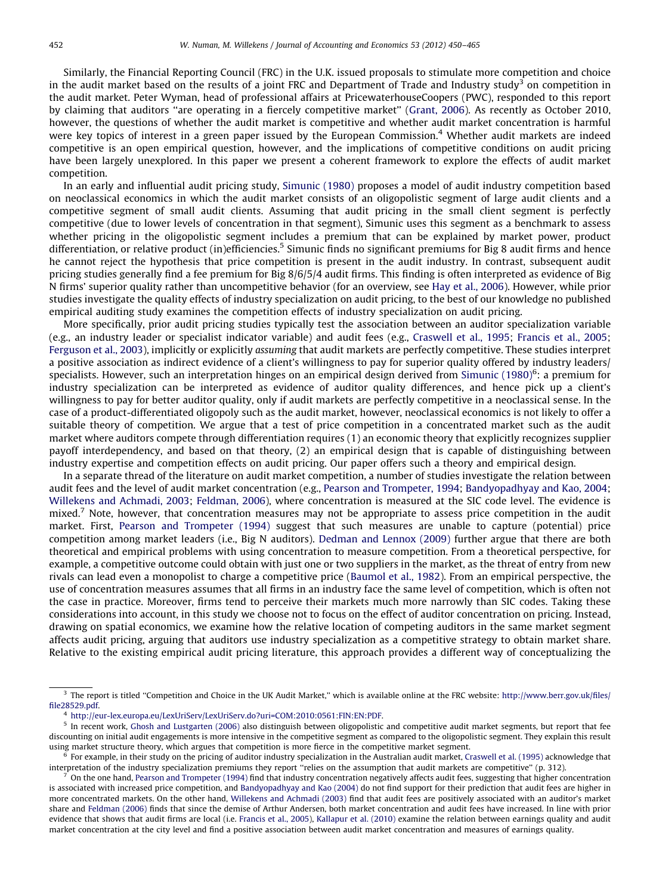Similarly, the Financial Reporting Council (FRC) in the U.K. issued proposals to stimulate more competition and choice in the audit market based on the results of a joint FRC and Department of Trade and Industry study<sup>3</sup> on competition in the audit market. Peter Wyman, head of professional affairs at PricewaterhouseCoopers (PWC), responded to this report by claiming that auditors ''are operating in a fiercely competitive market'' ([Grant, 2006\)](#page-15-0). As recently as October 2010, however, the questions of whether the audit market is competitive and whether audit market concentration is harmful were key topics of interest in a green paper issued by the European Commission.<sup>4</sup> Whether audit markets are indeed competitive is an open empirical question, however, and the implications of competitive conditions on audit pricing have been largely unexplored. In this paper we present a coherent framework to explore the effects of audit market competition.

In an early and influential audit pricing study, [Simunic \(1980\)](#page-15-0) proposes a model of audit industry competition based on neoclassical economics in which the audit market consists of an oligopolistic segment of large audit clients and a competitive segment of small audit clients. Assuming that audit pricing in the small client segment is perfectly competitive (due to lower levels of concentration in that segment), Simunic uses this segment as a benchmark to assess whether pricing in the oligopolistic segment includes a premium that can be explained by market power, product differentiation, or relative product (in)efficiencies.<sup>5</sup> Simunic finds no significant premiums for Big 8 audit firms and hence he cannot reject the hypothesis that price competition is present in the audit industry. In contrast, subsequent audit pricing studies generally find a fee premium for Big 8/6/5/4 audit firms. This finding is often interpreted as evidence of Big N firms' superior quality rather than uncompetitive behavior (for an overview, see [Hay et al., 2006](#page-15-0)). However, while prior studies investigate the quality effects of industry specialization on audit pricing, to the best of our knowledge no published empirical auditing study examines the competition effects of industry specialization on audit pricing.

More specifically, prior audit pricing studies typically test the association between an auditor specialization variable (e.g., an industry leader or specialist indicator variable) and audit fees (e.g., [Craswell et al., 1995](#page-14-0); [Francis et al., 2005](#page-15-0); [Ferguson et al., 2003\)](#page-15-0), implicitly or explicitly assuming that audit markets are perfectly competitive. These studies interpret a positive association as indirect evidence of a client's willingness to pay for superior quality offered by industry leaders/ specialists. However, such an interpretation hinges on an empirical design derived from [Simunic \(1980\)](#page-15-0) $^6$ : a premium for industry specialization can be interpreted as evidence of auditor quality differences, and hence pick up a client's willingness to pay for better auditor quality, only if audit markets are perfectly competitive in a neoclassical sense. In the case of a product-differentiated oligopoly such as the audit market, however, neoclassical economics is not likely to offer a suitable theory of competition. We argue that a test of price competition in a concentrated market such as the audit market where auditors compete through differentiation requires (1) an economic theory that explicitly recognizes supplier payoff interdependency, and based on that theory, (2) an empirical design that is capable of distinguishing between industry expertise and competition effects on audit pricing. Our paper offers such a theory and empirical design.

In a separate thread of the literature on audit market competition, a number of studies investigate the relation between audit fees and the level of audit market concentration (e.g., [Pearson and Trompeter, 1994](#page-15-0); [Bandyopadhyay and Kao, 2004](#page-14-0); [Willekens and Achmadi, 2003](#page-15-0); [Feldman, 2006](#page-15-0)), where concentration is measured at the SIC code level. The evidence is mixed.<sup>7</sup> Note, however, that concentration measures may not be appropriate to assess price competition in the audit market. First, [Pearson and Trompeter \(1994\)](#page-15-0) suggest that such measures are unable to capture (potential) price competition among market leaders (i.e., Big N auditors). [Dedman and Lennox \(2009\)](#page-14-0) further argue that there are both theoretical and empirical problems with using concentration to measure competition. From a theoretical perspective, for example, a competitive outcome could obtain with just one or two suppliers in the market, as the threat of entry from new rivals can lead even a monopolist to charge a competitive price ([Baumol et al., 1982](#page-14-0)). From an empirical perspective, the use of concentration measures assumes that all firms in an industry face the same level of competition, which is often not the case in practice. Moreover, firms tend to perceive their markets much more narrowly than SIC codes. Taking these considerations into account, in this study we choose not to focus on the effect of auditor concentration on pricing. Instead, drawing on spatial economics, we examine how the relative location of competing auditors in the same market segment affects audit pricing, arguing that auditors use industry specialization as a competitive strategy to obtain market share. Relative to the existing empirical audit pricing literature, this approach provides a different way of conceptualizing the

 $3$  The report is titled "Competition and Choice in the UK Audit Market," which is available online at the FRC website: [http://www.berr.gov.uk/files/](http://www.berr.gov.uk/files/file28529.pdf) [file28529.pdf](http://www.berr.gov.uk/files/file28529.pdf).

<sup>4</sup> [http://eur-lex.europa.eu/LexUriServ/LexUriServ.do?uri=COM:2010:0561:FIN:EN:PDF.](http://eur-lex.europa.eu/LexUriServ/LexUriServ.do?uri=COM:2010:0561:FIN:EN:PDF)

<sup>5</sup> In recent work, [Ghosh and Lustgarten \(2006\)](#page-15-0) also distinguish between oligopolistic and competitive audit market segments, but report that fee discounting on initial audit engagements is more intensive in the competitive segment as compared to the oligopolistic segment. They explain this result using market structure theory, which argues that competition is more fierce in the competitive market segment.

<sup>6</sup> For example, in their study on the pricing of auditor industry specialization in the Australian audit market, [Craswell et al. \(1995\)](#page-14-0) acknowledge that interpretation of the industry specialization premiums they report ''relies on the assumption that audit markets are competitive'' (p. 312).

<sup>7</sup> On the one hand, [Pearson and Trompeter \(1994\)](#page-15-0) find that industry concentration negatively affects audit fees, suggesting that higher concentration is associated with increased price competition, and [Bandyopadhyay and Kao \(2004\)](#page-14-0) do not find support for their prediction that audit fees are higher in more concentrated markets. On the other hand, [Willekens and Achmadi \(2003\)](#page-15-0) find that audit fees are positively associated with an auditor's market share and [Feldman \(2006\)](#page-15-0) finds that since the demise of Arthur Andersen, both market concentration and audit fees have increased. In line with prior evidence that shows that audit firms are local (i.e. [Francis et al., 2005\)](#page-15-0), [Kallapur et al. \(2010\)](#page-15-0) examine the relation between earnings quality and audit market concentration at the city level and find a positive association between audit market concentration and measures of earnings quality.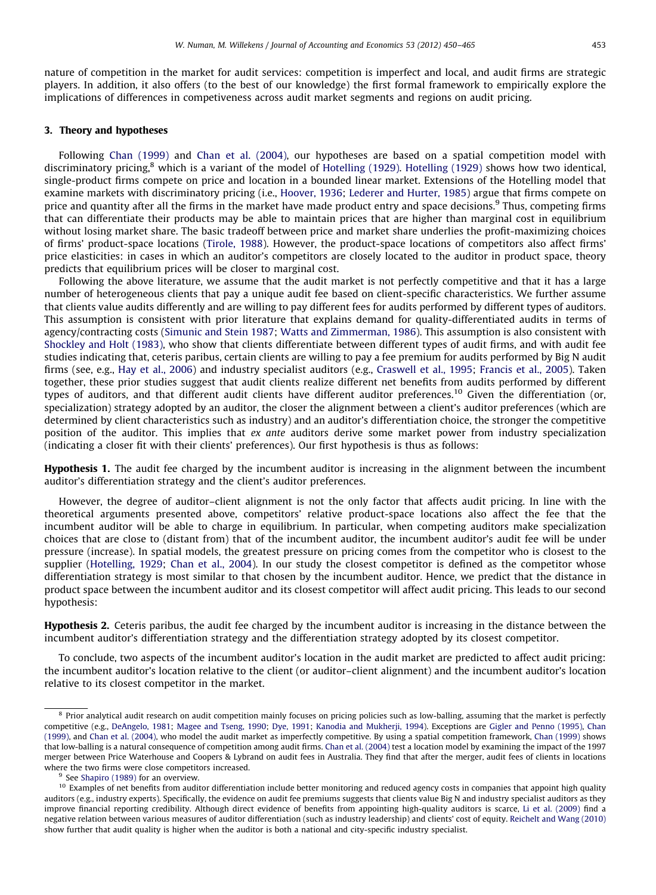<span id="page-3-0"></span>nature of competition in the market for audit services: competition is imperfect and local, and audit firms are strategic players. In addition, it also offers (to the best of our knowledge) the first formal framework to empirically explore the implications of differences in competiveness across audit market segments and regions on audit pricing.

## 3. Theory and hypotheses

Following [Chan \(1999\)](#page-14-0) and [Chan et al. \(2004\),](#page-14-0) our hypotheses are based on a spatial competition model with discriminatory pricing,<sup>8</sup> which is a variant of the model of [Hotelling \(1929\).](#page-15-0) [Hotelling \(1929\)](#page-15-0) shows how two identical, single-product firms compete on price and location in a bounded linear market. Extensions of the Hotelling model that examine markets with discriminatory pricing (i.e., [Hoover, 1936](#page-15-0); [Lederer and Hurter, 1985](#page-15-0)) argue that firms compete on price and quantity after all the firms in the market have made product entry and space decisions. $9$  Thus, competing firms that can differentiate their products may be able to maintain prices that are higher than marginal cost in equilibrium without losing market share. The basic tradeoff between price and market share underlies the profit-maximizing choices of firms' product-space locations ([Tirole, 1988](#page-15-0)). However, the product-space locations of competitors also affect firms' price elasticities: in cases in which an auditor's competitors are closely located to the auditor in product space, theory predicts that equilibrium prices will be closer to marginal cost.

Following the above literature, we assume that the audit market is not perfectly competitive and that it has a large number of heterogeneous clients that pay a unique audit fee based on client-specific characteristics. We further assume that clients value audits differently and are willing to pay different fees for audits performed by different types of auditors. This assumption is consistent with prior literature that explains demand for quality-differentiated audits in terms of agency/contracting costs ([Simunic and Stein 1987;](#page-15-0) [Watts and Zimmerman, 1986](#page-15-0)). This assumption is also consistent with [Shockley and Holt \(1983\)](#page-15-0), who show that clients differentiate between different types of audit firms, and with audit fee studies indicating that, ceteris paribus, certain clients are willing to pay a fee premium for audits performed by Big N audit firms (see, e.g., [Hay et al., 2006\)](#page-15-0) and industry specialist auditors (e.g., [Craswell et al., 1995](#page-14-0); [Francis et al., 2005](#page-15-0)). Taken together, these prior studies suggest that audit clients realize different net benefits from audits performed by different types of auditors, and that different audit clients have different auditor preferences.<sup>10</sup> Given the differentiation (or, specialization) strategy adopted by an auditor, the closer the alignment between a client's auditor preferences (which are determined by client characteristics such as industry) and an auditor's differentiation choice, the stronger the competitive position of the auditor. This implies that ex ante auditors derive some market power from industry specialization (indicating a closer fit with their clients' preferences). Our first hypothesis is thus as follows:

Hypothesis 1. The audit fee charged by the incumbent auditor is increasing in the alignment between the incumbent auditor's differentiation strategy and the client's auditor preferences.

However, the degree of auditor–client alignment is not the only factor that affects audit pricing. In line with the theoretical arguments presented above, competitors' relative product-space locations also affect the fee that the incumbent auditor will be able to charge in equilibrium. In particular, when competing auditors make specialization choices that are close to (distant from) that of the incumbent auditor, the incumbent auditor's audit fee will be under pressure (increase). In spatial models, the greatest pressure on pricing comes from the competitor who is closest to the supplier ([Hotelling, 1929;](#page-15-0) [Chan et al., 2004](#page-14-0)). In our study the closest competitor is defined as the competitor whose differentiation strategy is most similar to that chosen by the incumbent auditor. Hence, we predict that the distance in product space between the incumbent auditor and its closest competitor will affect audit pricing. This leads to our second hypothesis:

Hypothesis 2. Ceteris paribus, the audit fee charged by the incumbent auditor is increasing in the distance between the incumbent auditor's differentiation strategy and the differentiation strategy adopted by its closest competitor.

To conclude, two aspects of the incumbent auditor's location in the audit market are predicted to affect audit pricing: the incumbent auditor's location relative to the client (or auditor–client alignment) and the incumbent auditor's location relative to its closest competitor in the market.

<sup>&</sup>lt;sup>8</sup> Prior analytical audit research on audit competition mainly focuses on pricing policies such as low-balling, assuming that the market is perfectly competitive (e.g., [DeAngelo, 1981;](#page-14-0) [Magee and Tseng, 1990;](#page-15-0) [Dye, 1991](#page-14-0); [Kanodia and Mukherji, 1994\)](#page-15-0). Exceptions are [Gigler and Penno \(1995\)](#page-15-0), [Chan](#page-14-0) [\(1999\)](#page-14-0), and [Chan et al. \(2004\),](#page-14-0) who model the audit market as imperfectly competitive. By using a spatial competition framework, [Chan \(1999\)](#page-14-0) shows that low-balling is a natural consequence of competition among audit firms. [Chan et al. \(2004\)](#page-14-0) test a location model by examining the impact of the 1997 merger between Price Waterhouse and Coopers & Lybrand on audit fees in Australia. They find that after the merger, audit fees of clients in locations where the two firms were close competitors increased.

<sup>&</sup>lt;sup>9</sup> See [Shapiro \(1989\)](#page-15-0) for an overview.

<sup>&</sup>lt;sup>10</sup> Examples of net benefits from auditor differentiation include better monitoring and reduced agency costs in companies that appoint high quality auditors (e.g., industry experts). Specifically, the evidence on audit fee premiums suggests that clients value Big N and industry specialist auditors as they improve financial reporting credibility. Although direct evidence of benefits from appointing high-quality auditors is scarce, [Li et al. \(2009\)](#page-15-0) find a negative relation between various measures of auditor differentiation (such as industry leadership) and clients' cost of equity. [Reichelt and Wang \(2010\)](#page-15-0) show further that audit quality is higher when the auditor is both a national and city-specific industry specialist.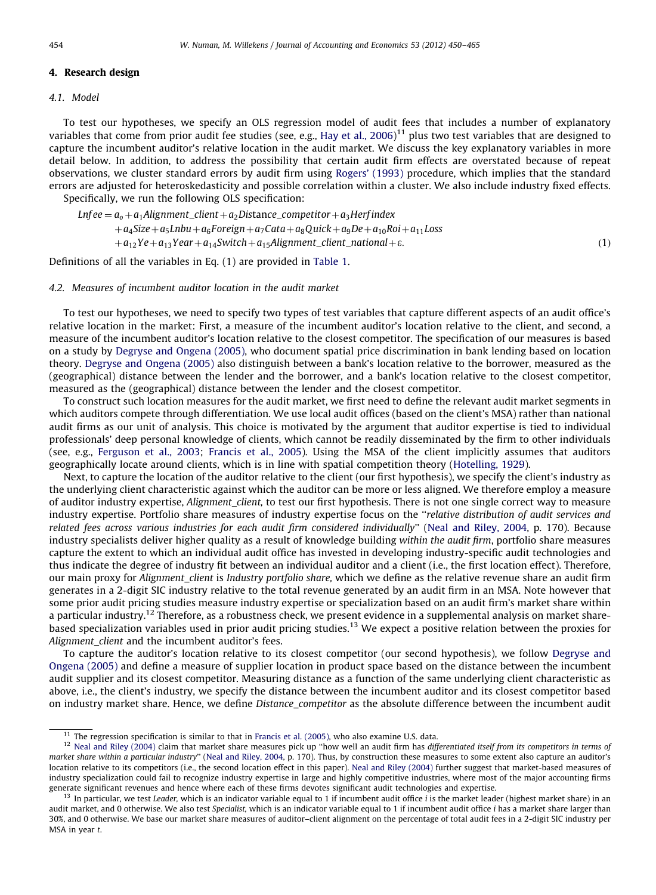# <span id="page-4-0"></span>4. Research design

#### 4.1. Model

To test our hypotheses, we specify an OLS regression model of audit fees that includes a number of explanatory variables that come from prior audit fee studies (see, e.g., [Hay et al., 2006](#page-15-0))<sup>11</sup> plus two test variables that are designed to capture the incumbent auditor's relative location in the audit market. We discuss the key explanatory variables in more detail below. In addition, to address the possibility that certain audit firm effects are overstated because of repeat observations, we cluster standard errors by audit firm using [Rogers' \(1993\)](#page-15-0) procedure, which implies that the standard errors are adjusted for heteroskedasticity and possible correlation within a cluster. We also include industry fixed effects. Specifically, we run the following OLS specification:

 $Infee = a_0 + a_1$ Alignment\_client +  $a_2$ Distance\_competitor +  $a_3$ Herf index  $+a_4$ Size +  $a_5Lnbu + a_6$ Foreign +  $a_7$ Cata +  $a_8Qu$ ick +  $a_9De + a_{10}Roi + a_{11}Loss$  $+ a_{12}Ye + a_{13}Year + a_{14}Switch + a_{15}A^{i}g\right)$ ment\_client\_national+ $\varepsilon$ . (1)

Definitions of all the variables in Eq. (1) are provided in [Table 1.](#page-5-0)

## 4.2. Measures of incumbent auditor location in the audit market

To test our hypotheses, we need to specify two types of test variables that capture different aspects of an audit office's relative location in the market: First, a measure of the incumbent auditor's location relative to the client, and second, a measure of the incumbent auditor's location relative to the closest competitor. The specification of our measures is based on a study by [Degryse and Ongena \(2005\)](#page-14-0), who document spatial price discrimination in bank lending based on location theory. [Degryse and Ongena \(2005\)](#page-14-0) also distinguish between a bank's location relative to the borrower, measured as the (geographical) distance between the lender and the borrower, and a bank's location relative to the closest competitor, measured as the (geographical) distance between the lender and the closest competitor.

To construct such location measures for the audit market, we first need to define the relevant audit market segments in which auditors compete through differentiation. We use local audit offices (based on the client's MSA) rather than national audit firms as our unit of analysis. This choice is motivated by the argument that auditor expertise is tied to individual professionals' deep personal knowledge of clients, which cannot be readily disseminated by the firm to other individuals (see, e.g., [Ferguson et al., 2003](#page-15-0); [Francis et al., 2005](#page-15-0)). Using the MSA of the client implicitly assumes that auditors geographically locate around clients, which is in line with spatial competition theory [\(Hotelling, 1929\)](#page-15-0).

Next, to capture the location of the auditor relative to the client (our first hypothesis), we specify the client's industry as the underlying client characteristic against which the auditor can be more or less aligned. We therefore employ a measure of auditor industry expertise, Alignment\_client, to test our first hypothesis. There is not one single correct way to measure industry expertise. Portfolio share measures of industry expertise focus on the ''relative distribution of audit services and related fees across various industries for each audit firm considered individually'' ([Neal and Riley, 2004](#page-15-0), p. 170). Because industry specialists deliver higher quality as a result of knowledge building within the audit firm, portfolio share measures capture the extent to which an individual audit office has invested in developing industry-specific audit technologies and thus indicate the degree of industry fit between an individual auditor and a client (i.e., the first location effect). Therefore, our main proxy for Alignment\_client is Industry portfolio share, which we define as the relative revenue share an audit firm generates in a 2-digit SIC industry relative to the total revenue generated by an audit firm in an MSA. Note however that some prior audit pricing studies measure industry expertise or specialization based on an audit firm's market share within a particular industry.<sup>12</sup> Therefore, as a robustness check, we present evidence in a supplemental analysis on market sharebased specialization variables used in prior audit pricing studies.13 We expect a positive relation between the proxies for Alignment\_client and the incumbent auditor's fees.

To capture the auditor's location relative to its closest competitor (our second hypothesis), we follow [Degryse and](#page-14-0) [Ongena \(2005\)](#page-14-0) and define a measure of supplier location in product space based on the distance between the incumbent audit supplier and its closest competitor. Measuring distance as a function of the same underlying client characteristic as above, i.e., the client's industry, we specify the distance between the incumbent auditor and its closest competitor based on industry market share. Hence, we define Distance competitor as the absolute difference between the incumbent audit

 $11$  The regression specification is similar to that in [Francis et al. \(2005\)](#page-15-0), who also examine U.S. data.

 $12$  [Neal and Riley \(2004\)](#page-15-0) claim that market share measures pick up "how well an audit firm has differentiated itself from its competitors in terms of market share within a particular industry'' [\(Neal and Riley, 2004,](#page-15-0) p. 170). Thus, by construction these measures to some extent also capture an auditor's location relative to its competitors (i.e., the second location effect in this paper). [Neal and Riley \(2004\)](#page-15-0) further suggest that market-based measures of industry specialization could fail to recognize industry expertise in large and highly competitive industries, where most of the major accounting firms generate significant revenues and hence where each of these firms devotes significant audit technologies and expertise.

 $13$  In particular, we test Leader, which is an indicator variable equal to 1 if incumbent audit office i is the market leader (highest market share) in an audit market, and 0 otherwise. We also test Specialist, which is an indicator variable equal to 1 if incumbent audit office *i* has a market share larger than 30%, and 0 otherwise. We base our market share measures of auditor–client alignment on the percentage of total audit fees in a 2-digit SIC industry per MSA in year t.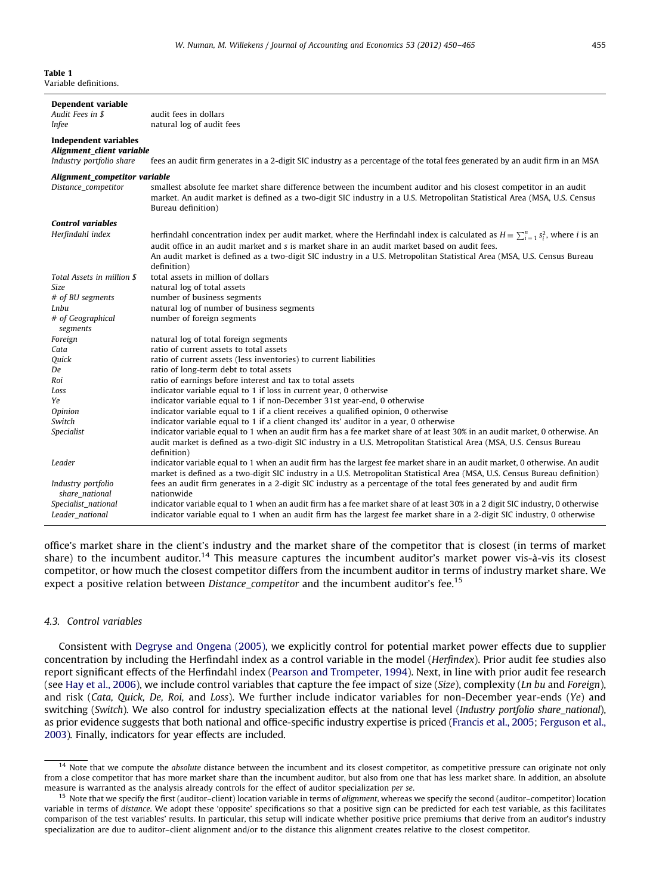<span id="page-5-0"></span>Variable definitions. Dependent variable

| Dependent variable<br>Audit Fees in \$<br><i>Infee</i>                                | audit fees in dollars<br>natural log of audit fees                                                                                                                                                                                                                                                                                                                                        |
|---------------------------------------------------------------------------------------|-------------------------------------------------------------------------------------------------------------------------------------------------------------------------------------------------------------------------------------------------------------------------------------------------------------------------------------------------------------------------------------------|
| <b>Independent variables</b><br>Alignment client variable<br>Industry portfolio share | fees an audit firm generates in a 2-digit SIC industry as a percentage of the total fees generated by an audit firm in an MSA                                                                                                                                                                                                                                                             |
| Alignment_competitor variable                                                         |                                                                                                                                                                                                                                                                                                                                                                                           |
| Distance_competitor                                                                   | smallest absolute fee market share difference between the incumbent auditor and his closest competitor in an audit<br>market. An audit market is defined as a two-digit SIC industry in a U.S. Metropolitan Statistical Area (MSA, U.S. Census<br>Bureau definition)                                                                                                                      |
| <b>Control variables</b>                                                              |                                                                                                                                                                                                                                                                                                                                                                                           |
| Herfindahl index                                                                      | herfindahl concentration index per audit market, where the Herfindahl index is calculated as $H = \sum_{i=1}^{n} s_i^2$ , where <i>i</i> is an<br>audit office in an audit market and s is market share in an audit market based on audit fees.<br>An audit market is defined as a two-digit SIC industry in a U.S. Metropolitan Statistical Area (MSA, U.S. Census Bureau<br>definition) |
| Total Assets in million \$                                                            | total assets in million of dollars                                                                                                                                                                                                                                                                                                                                                        |
| Size                                                                                  | natural log of total assets                                                                                                                                                                                                                                                                                                                                                               |
| # of BU segments                                                                      | number of business segments                                                                                                                                                                                                                                                                                                                                                               |
| Lnbu                                                                                  | natural log of number of business segments                                                                                                                                                                                                                                                                                                                                                |
| # of Geographical<br>segments                                                         | number of foreign segments                                                                                                                                                                                                                                                                                                                                                                |
| Foreign                                                                               | natural log of total foreign segments                                                                                                                                                                                                                                                                                                                                                     |
| Cata                                                                                  | ratio of current assets to total assets                                                                                                                                                                                                                                                                                                                                                   |
| Quick                                                                                 | ratio of current assets (less inventories) to current liabilities                                                                                                                                                                                                                                                                                                                         |
| De                                                                                    | ratio of long-term debt to total assets                                                                                                                                                                                                                                                                                                                                                   |
| Roi                                                                                   | ratio of earnings before interest and tax to total assets                                                                                                                                                                                                                                                                                                                                 |
| Loss                                                                                  | indicator variable equal to 1 if loss in current year, 0 otherwise                                                                                                                                                                                                                                                                                                                        |
| Ye                                                                                    | indicator variable equal to 1 if non-December 31st year-end, 0 otherwise                                                                                                                                                                                                                                                                                                                  |
| Opinion                                                                               | indicator variable equal to 1 if a client receives a qualified opinion, 0 otherwise                                                                                                                                                                                                                                                                                                       |
| Switch                                                                                | indicator variable equal to 1 if a client changed its' auditor in a year, 0 otherwise                                                                                                                                                                                                                                                                                                     |
| Specialist                                                                            | indicator variable equal to 1 when an audit firm has a fee market share of at least 30% in an audit market, 0 otherwise. An<br>audit market is defined as a two-digit SIC industry in a U.S. Metropolitan Statistical Area (MSA, U.S. Census Bureau<br>definition)                                                                                                                        |
| Leader                                                                                | indicator variable equal to 1 when an audit firm has the largest fee market share in an audit market, 0 otherwise. An audit<br>market is defined as a two-digit SIC industry in a U.S. Metropolitan Statistical Area (MSA, U.S. Census Bureau definition)                                                                                                                                 |
| Industry portfolio<br>share_national                                                  | fees an audit firm generates in a 2-digit SIC industry as a percentage of the total fees generated by and audit firm<br>nationwide                                                                                                                                                                                                                                                        |
| Specialist_national<br>Leader national                                                | indicator variable equal to 1 when an audit firm has a fee market share of at least 30% in a 2 digit SIC industry, 0 otherwise<br>indicator variable equal to 1 when an audit firm has the largest fee market share in a 2-digit SIC industry, 0 otherwise                                                                                                                                |

office's market share in the client's industry and the market share of the competitor that is closest (in terms of market share) to the incumbent auditor.<sup>14</sup> This measure captures the incumbent auditor's market power vis-à-vis its closest competitor, or how much the closest competitor differs from the incumbent auditor in terms of industry market share. We expect a positive relation between Distance\_competitor and the incumbent auditor's fee.<sup>15</sup>

# 4.3. Control variables

Consistent with [Degryse and Ongena \(2005\)](#page-14-0), we explicitly control for potential market power effects due to supplier concentration by including the Herfindahl index as a control variable in the model (Herfindex). Prior audit fee studies also report significant effects of the Herfindahl index ([Pearson and Trompeter, 1994](#page-15-0)). Next, in line with prior audit fee research (see [Hay et al., 2006\)](#page-15-0), we include control variables that capture the fee impact of size (Size), complexity (Ln bu and Foreign), and risk (Cata, Quick, De, Roi, and Loss). We further include indicator variables for non-December year-ends (Ye) and switching (Switch). We also control for industry specialization effects at the national level (Industry portfolio share\_national), as prior evidence suggests that both national and office-specific industry expertise is priced ([Francis et al., 2005](#page-15-0); [Ferguson et al.,](#page-15-0) [2003](#page-15-0)). Finally, indicators for year effects are included.

<sup>&</sup>lt;sup>14</sup> Note that we compute the absolute distance between the incumbent and its closest competitor, as competitive pressure can originate not only from a close competitor that has more market share than the incumbent auditor, but also from one that has less market share. In addition, an absolute measure is warranted as the analysis already controls for the effect of auditor specialization per se.

<sup>&</sup>lt;sup>15</sup> Note that we specify the first (auditor-client) location variable in terms of alignment, whereas we specify the second (auditor-competitor) location variable in terms of distance. We adopt these 'opposite' specifications so that a positive sign can be predicted for each test variable, as this facilitates comparison of the test variables' results. In particular, this setup will indicate whether positive price premiums that derive from an auditor's industry specialization are due to auditor–client alignment and/or to the distance this alignment creates relative to the closest competitor.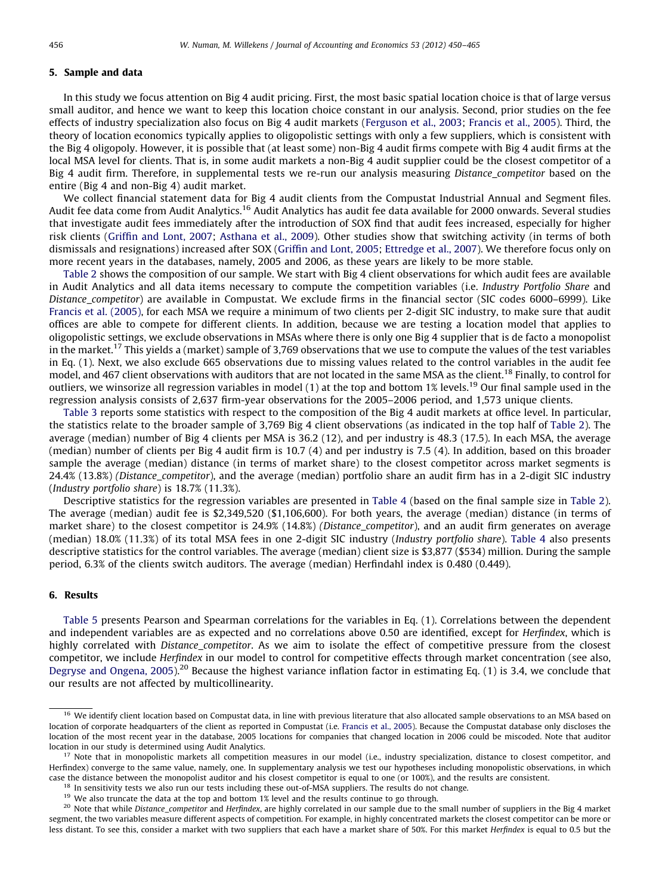# <span id="page-6-0"></span>5. Sample and data

In this study we focus attention on Big 4 audit pricing. First, the most basic spatial location choice is that of large versus small auditor, and hence we want to keep this location choice constant in our analysis. Second, prior studies on the fee effects of industry specialization also focus on Big 4 audit markets ([Ferguson et al., 2003;](#page-15-0) [Francis et al., 2005\)](#page-15-0). Third, the theory of location economics typically applies to oligopolistic settings with only a few suppliers, which is consistent with the Big 4 oligopoly. However, it is possible that (at least some) non-Big 4 audit firms compete with Big 4 audit firms at the local MSA level for clients. That is, in some audit markets a non-Big 4 audit supplier could be the closest competitor of a Big 4 audit firm. Therefore, in supplemental tests we re-run our analysis measuring Distance\_competitor based on the entire (Big 4 and non-Big 4) audit market.

We collect financial statement data for Big 4 audit clients from the Compustat Industrial Annual and Segment files. Audit fee data come from Audit Analytics.16 Audit Analytics has audit fee data available for 2000 onwards. Several studies that investigate audit fees immediately after the introduction of SOX find that audit fees increased, especially for higher risk clients ([Griffin and Lont, 2007](#page-15-0); [Asthana et al., 2009\)](#page-14-0). Other studies show that switching activity (in terms of both dismissals and resignations) increased after SOX ([Griffin and Lont, 2005](#page-15-0); [Ettredge et al., 2007](#page-15-0)). We therefore focus only on more recent years in the databases, namely, 2005 and 2006, as these years are likely to be more stable.

[Table 2](#page-7-0) shows the composition of our sample. We start with Big 4 client observations for which audit fees are available in Audit Analytics and all data items necessary to compute the competition variables (i.e. Industry Portfolio Share and Distance\_competitor) are available in Compustat. We exclude firms in the financial sector (SIC codes 6000–6999). Like [Francis et al. \(2005\)](#page-15-0), for each MSA we require a minimum of two clients per 2-digit SIC industry, to make sure that audit offices are able to compete for different clients. In addition, because we are testing a location model that applies to oligopolistic settings, we exclude observations in MSAs where there is only one Big 4 supplier that is de facto a monopolist in the market.<sup>17</sup> This yields a (market) sample of 3,769 observations that we use to compute the values of the test variables in Eq. (1). Next, we also exclude 665 observations due to missing values related to the control variables in the audit fee model, and 467 client observations with auditors that are not located in the same MSA as the client.<sup>18</sup> Finally, to control for outliers, we winsorize all regression variables in model (1) at the top and bottom 1% levels.<sup>19</sup> Our final sample used in the regression analysis consists of 2,637 firm-year observations for the 2005–2006 period, and 1,573 unique clients.

[Table 3](#page-7-0) reports some statistics with respect to the composition of the Big 4 audit markets at office level. In particular, the statistics relate to the broader sample of 3,769 Big 4 client observations (as indicated in the top half of [Table 2](#page-7-0)). The average (median) number of Big 4 clients per MSA is 36.2 (12), and per industry is 48.3 (17.5). In each MSA, the average (median) number of clients per Big 4 audit firm is 10.7 (4) and per industry is 7.5 (4). In addition, based on this broader sample the average (median) distance (in terms of market share) to the closest competitor across market segments is 24.4% (13.8%) (Distance\_competitor), and the average (median) portfolio share an audit firm has in a 2-digit SIC industry (Industry portfolio share) is 18.7% (11.3%).

Descriptive statistics for the regression variables are presented in [Table 4](#page-8-0) (based on the final sample size in [Table 2](#page-7-0)). The average (median) audit fee is \$2,349,520 (\$1,106,600). For both years, the average (median) distance (in terms of market share) to the closest competitor is 24.9% (14.8%) (Distance\_competitor), and an audit firm generates on average (median) 18.0% (11.3%) of its total MSA fees in one 2-digit SIC industry (Industry portfolio share). [Table 4](#page-8-0) also presents descriptive statistics for the control variables. The average (median) client size is \$3,877 (\$534) million. During the sample period, 6.3% of the clients switch auditors. The average (median) Herfindahl index is 0.480 (0.449).

# 6. Results

[Table 5](#page-9-0) presents Pearson and Spearman correlations for the variables in Eq. (1). Correlations between the dependent and independent variables are as expected and no correlations above 0.50 are identified, except for Herfindex, which is highly correlated with Distance\_competitor. As we aim to isolate the effect of competitive pressure from the closest competitor, we include Herfindex in our model to control for competitive effects through market concentration (see also, [Degryse and Ongena, 2005](#page-14-0)).<sup>20</sup> Because the highest variance inflation factor in estimating Eq. (1) is 3.4, we conclude that our results are not affected by multicollinearity.

<sup>&</sup>lt;sup>16</sup> We identify client location based on Compustat data, in line with previous literature that also allocated sample observations to an MSA based on location of corporate headquarters of the client as reported in Compustat (i.e. [Francis et al., 2005](#page-15-0)). Because the Compustat database only discloses the location of the most recent year in the database, 2005 locations for companies that changed location in 2006 could be miscoded. Note that auditor location in our study is determined using Audit Analytics.

<sup>&</sup>lt;sup>17</sup> Note that in monopolistic markets all competition measures in our model (i.e., industry specialization, distance to closest competitor, and Herfindex) converge to the same value, namely, one. In supplementary analysis we test our hypotheses including monopolistic observations, in which case the distance between the monopolist auditor and his closest competitor is equal to one (or 100%), and the results are consistent.

<sup>&</sup>lt;sup>18</sup> In sensitivity tests we also run our tests including these out-of-MSA suppliers. The results do not change.

<sup>&</sup>lt;sup>19</sup> We also truncate the data at the top and bottom 1% level and the results continue to go through.

<sup>&</sup>lt;sup>20</sup> Note that while Distance\_competitor and Herfindex, are highly correlated in our sample due to the small number of suppliers in the Big 4 market segment, the two variables measure different aspects of competition. For example, in highly concentrated markets the closest competitor can be more or less distant. To see this, consider a market with two suppliers that each have a market share of 50%. For this market Herfindex is equal to 0.5 but the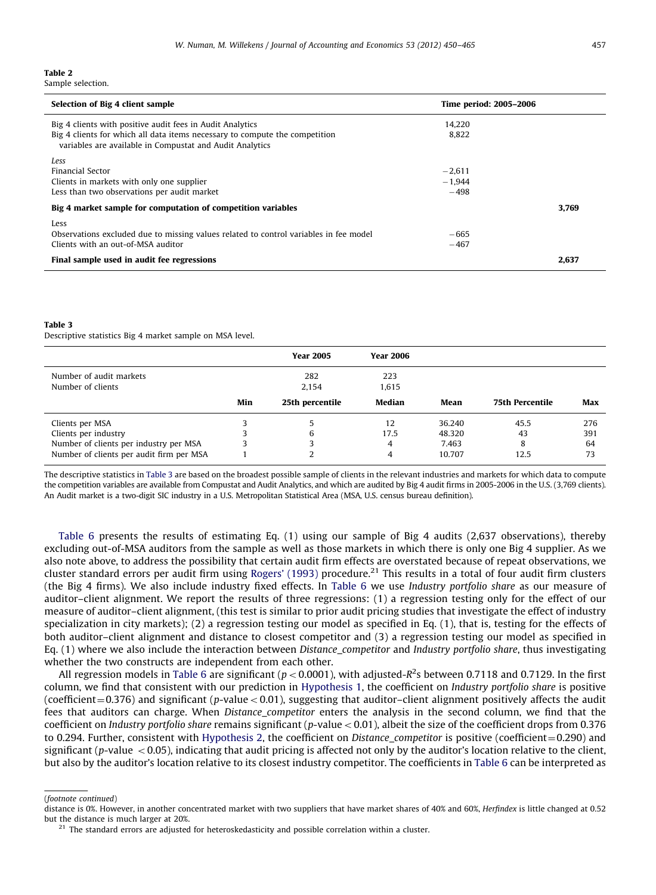#### <span id="page-7-0"></span>Table 2 Sample selection.

| Selection of Big 4 client sample                                                                                                                                                                     | Time period: 2005-2006         |       |
|------------------------------------------------------------------------------------------------------------------------------------------------------------------------------------------------------|--------------------------------|-------|
| Big 4 clients with positive audit fees in Audit Analytics<br>Big 4 clients for which all data items necessary to compute the competition<br>variables are available in Compustat and Audit Analytics | 14.220<br>8.822                |       |
| Less<br><b>Financial Sector</b><br>Clients in markets with only one supplier<br>Less than two observations per audit market                                                                          | $-2.611$<br>$-1.944$<br>$-498$ |       |
| Big 4 market sample for computation of competition variables                                                                                                                                         |                                | 3.769 |
| Less<br>Observations excluded due to missing values related to control variables in fee model<br>Clients with an out-of-MSA auditor                                                                  | $-665$<br>$-467$               |       |
| Final sample used in audit fee regressions                                                                                                                                                           |                                | 2.637 |

#### Table 3

Descriptive statistics Big 4 market sample on MSA level.

|                                              |     | <b>Year 2005</b> | <b>Year 2006</b> |        |                        |     |
|----------------------------------------------|-----|------------------|------------------|--------|------------------------|-----|
| Number of audit markets<br>Number of clients |     | 282<br>2.154     | 223<br>1.615     |        |                        |     |
|                                              | Min | 25th percentile  | Median           | Mean   | <b>75th Percentile</b> | Max |
| Clients per MSA                              |     | 5                | 12               | 36.240 | 45.5                   | 276 |
| Clients per industry                         |     | 6                | 17.5             | 48.320 | 43                     | 391 |
| Number of clients per industry per MSA       |     |                  | 4                | 7.463  | 8                      | 64  |
| Number of clients per audit firm per MSA     |     | ∠                | 4                | 10.707 | 12.5                   | 73  |

The descriptive statistics in Table 3 are based on the broadest possible sample of clients in the relevant industries and markets for which data to compute the competition variables are available from Compustat and Audit Analytics, and which are audited by Big 4 audit firms in 2005-2006 in the U.S. (3,769 clients). An Audit market is a two-digit SIC industry in a U.S. Metropolitan Statistical Area (MSA, U.S. census bureau definition).

[Table 6](#page-10-0) presents the results of estimating Eq. (1) using our sample of Big 4 audits (2,637 observations), thereby excluding out-of-MSA auditors from the sample as well as those markets in which there is only one Big 4 supplier. As we also note above, to address the possibility that certain audit firm effects are overstated because of repeat observations, we cluster standard errors per audit firm using [Rogers' \(1993\)](#page-15-0) procedure.<sup>21</sup> This results in a total of four audit firm clusters (the Big 4 firms). We also include industry fixed effects. In [Table 6](#page-10-0) we use Industry portfolio share as our measure of auditor–client alignment. We report the results of three regressions: (1) a regression testing only for the effect of our measure of auditor–client alignment, (this test is similar to prior audit pricing studies that investigate the effect of industry specialization in city markets); (2) a regression testing our model as specified in Eq. (1), that is, testing for the effects of both auditor–client alignment and distance to closest competitor and (3) a regression testing our model as specified in Eq. (1) where we also include the interaction between Distance\_competitor and Industry portfolio share, thus investigating whether the two constructs are independent from each other.

All regression models in [Table 6](#page-10-0) are significant (p < 0.0001), with adjusted-R<sup>2</sup>s between 0.7118 and 0.7129. In the first column, we find that consistent with our prediction in [Hypothesis 1](#page-3-0), the coefficient on Industry portfolio share is positive (coefficient  $=0.376$ ) and significant (p-value  $< 0.01$ ), suggesting that auditor-client alignment positively affects the audit fees that auditors can charge. When Distance\_competitor enters the analysis in the second column, we find that the coefficient on Industry portfolio share remains significant (p-value < 0.01), albeit the size of the coefficient drops from 0.376 to 0.294. Further, consistent with [Hypothesis 2,](#page-3-0) the coefficient on Distance\_competitor is positive (coefficient=0.290) and significant (*p*-value  $<$  0.05), indicating that audit pricing is affected not only by the auditor's location relative to the client, but also by the auditor's location relative to its closest industry competitor. The coefficients in [Table 6](#page-10-0) can be interpreted as

(footnote continued)

distance is 0%. However, in another concentrated market with two suppliers that have market shares of 40% and 60%, Herfindex is little changed at 0.52 but the distance is much larger at 20%.

 $21$  The standard errors are adjusted for heteroskedasticity and possible correlation within a cluster.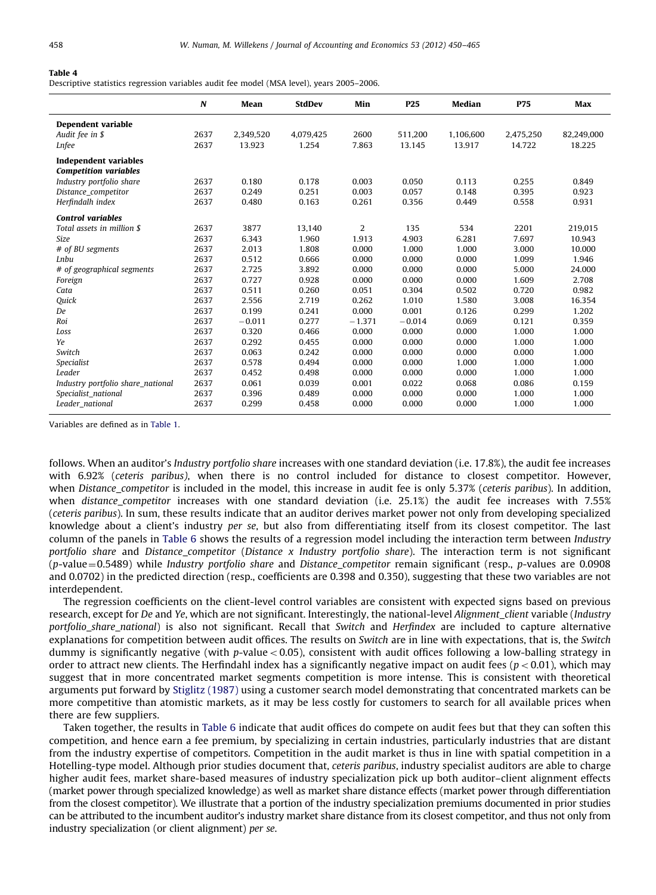<span id="page-8-0"></span>Descriptive statistics regression variables audit fee model (MSA level), years 2005–2006.

|                                                              | N    | Mean      | <b>StdDev</b> | Min      | P <sub>25</sub> | Median    | P75       | <b>Max</b> |
|--------------------------------------------------------------|------|-----------|---------------|----------|-----------------|-----------|-----------|------------|
| Dependent variable                                           |      |           |               |          |                 |           |           |            |
| Audit fee in \$                                              | 2637 | 2,349,520 | 4,079,425     | 2600     | 511,200         | 1,106,600 | 2,475,250 | 82,249,000 |
| Lnfee                                                        | 2637 | 13.923    | 1.254         | 7.863    | 13.145          | 13.917    | 14.722    | 18.225     |
| <b>Independent variables</b><br><b>Competition variables</b> |      |           |               |          |                 |           |           |            |
| Industry portfolio share                                     | 2637 | 0.180     | 0.178         | 0.003    | 0.050           | 0.113     | 0.255     | 0.849      |
| Distance_competitor                                          | 2637 | 0.249     | 0.251         | 0.003    | 0.057           | 0.148     | 0.395     | 0.923      |
| Herfindalh index                                             | 2637 | 0.480     | 0.163         | 0.261    | 0.356           | 0.449     | 0.558     | 0.931      |
| <b>Control variables</b>                                     |      |           |               |          |                 |           |           |            |
| Total assets in million \$                                   | 2637 | 3877      | 13,140        | 2        | 135             | 534       | 2201      | 219,015    |
| <b>Size</b>                                                  | 2637 | 6.343     | 1.960         | 1.913    | 4.903           | 6.281     | 7.697     | 10.943     |
| # of BU segments                                             | 2637 | 2.013     | 1.808         | 0.000    | 1.000           | 1.000     | 3.000     | 10.000     |
| Lnbu                                                         | 2637 | 0.512     | 0.666         | 0.000    | 0.000           | 0.000     | 1.099     | 1.946      |
| # of geographical segments                                   | 2637 | 2.725     | 3.892         | 0.000    | 0.000           | 0.000     | 5.000     | 24.000     |
| Foreign                                                      | 2637 | 0.727     | 0.928         | 0.000    | 0.000           | 0.000     | 1.609     | 2.708      |
| Cata                                                         | 2637 | 0.511     | 0.260         | 0.051    | 0.304           | 0.502     | 0.720     | 0.982      |
| <b>Quick</b>                                                 | 2637 | 2.556     | 2.719         | 0.262    | 1.010           | 1.580     | 3.008     | 16.354     |
| De                                                           | 2637 | 0.199     | 0.241         | 0.000    | 0.001           | 0.126     | 0.299     | 1.202      |
| Roi                                                          | 2637 | $-0.011$  | 0.277         | $-1.371$ | $-0.014$        | 0.069     | 0.121     | 0.359      |
| Loss                                                         | 2637 | 0.320     | 0.466         | 0.000    | 0.000           | 0.000     | 1.000     | 1.000      |
| Ye                                                           | 2637 | 0.292     | 0.455         | 0.000    | 0.000           | 0.000     | 1.000     | 1.000      |
| Switch                                                       | 2637 | 0.063     | 0.242         | 0.000    | 0.000           | 0.000     | 0.000     | 1.000      |
| Specialist                                                   | 2637 | 0.578     | 0.494         | 0.000    | 0.000           | 1.000     | 1.000     | 1.000      |
| Leader                                                       | 2637 | 0.452     | 0.498         | 0.000    | 0.000           | 0.000     | 1.000     | 1.000      |
| Industry portfolio share_national                            | 2637 | 0.061     | 0.039         | 0.001    | 0.022           | 0.068     | 0.086     | 0.159      |
| Specialist_national                                          | 2637 | 0.396     | 0.489         | 0.000    | 0.000           | 0.000     | 1.000     | 1.000      |
| Leader national                                              | 2637 | 0.299     | 0.458         | 0.000    | 0.000           | 0.000     | 1.000     | 1.000      |

Variables are defined as in [Table 1.](#page-5-0)

follows. When an auditor's Industry portfolio share increases with one standard deviation (i.e. 17.8%), the audit fee increases with 6.92% (ceteris paribus), when there is no control included for distance to closest competitor. However, when Distance\_competitor is included in the model, this increase in audit fee is only 5.37% (ceteris paribus). In addition, when distance\_competitor increases with one standard deviation (i.e. 25.1%) the audit fee increases with 7.55% (ceteris paribus). In sum, these results indicate that an auditor derives market power not only from developing specialized knowledge about a client's industry per se, but also from differentiating itself from its closest competitor. The last column of the panels in [Table 6](#page-10-0) shows the results of a regression model including the interaction term between Industry portfolio share and Distance\_competitor (Distance x Industry portfolio share). The interaction term is not significant  $(p$ -value $=0.5489)$  while *Industry portfolio share* and Distance\_competitor remain significant (resp., p-values are 0.0908 and 0.0702) in the predicted direction (resp., coefficients are 0.398 and 0.350), suggesting that these two variables are not interdependent.

The regression coefficients on the client-level control variables are consistent with expected signs based on previous research, except for De and Ye, which are not significant. Interestingly, the national-level Alignment client variable (Industry portfolio share national) is also not significant. Recall that Switch and Herfindex are included to capture alternative explanations for competition between audit offices. The results on Switch are in line with expectations, that is, the Switch dummy is significantly negative (with p-value < 0.05), consistent with audit offices following a low-balling strategy in order to attract new clients. The Herfindahl index has a significantly negative impact on audit fees ( $p < 0.01$ ), which may suggest that in more concentrated market segments competition is more intense. This is consistent with theoretical arguments put forward by [Stiglitz \(1987\)](#page-15-0) using a customer search model demonstrating that concentrated markets can be more competitive than atomistic markets, as it may be less costly for customers to search for all available prices when there are few suppliers.

Taken together, the results in [Table 6](#page-10-0) indicate that audit offices do compete on audit fees but that they can soften this competition, and hence earn a fee premium, by specializing in certain industries, particularly industries that are distant from the industry expertise of competitors. Competition in the audit market is thus in line with spatial competition in a Hotelling-type model. Although prior studies document that, ceteris paribus, industry specialist auditors are able to charge higher audit fees, market share-based measures of industry specialization pick up both auditor–client alignment effects (market power through specialized knowledge) as well as market share distance effects (market power through differentiation from the closest competitor). We illustrate that a portion of the industry specialization premiums documented in prior studies can be attributed to the incumbent auditor's industry market share distance from its closest competitor, and thus not only from industry specialization (or client alignment) per se.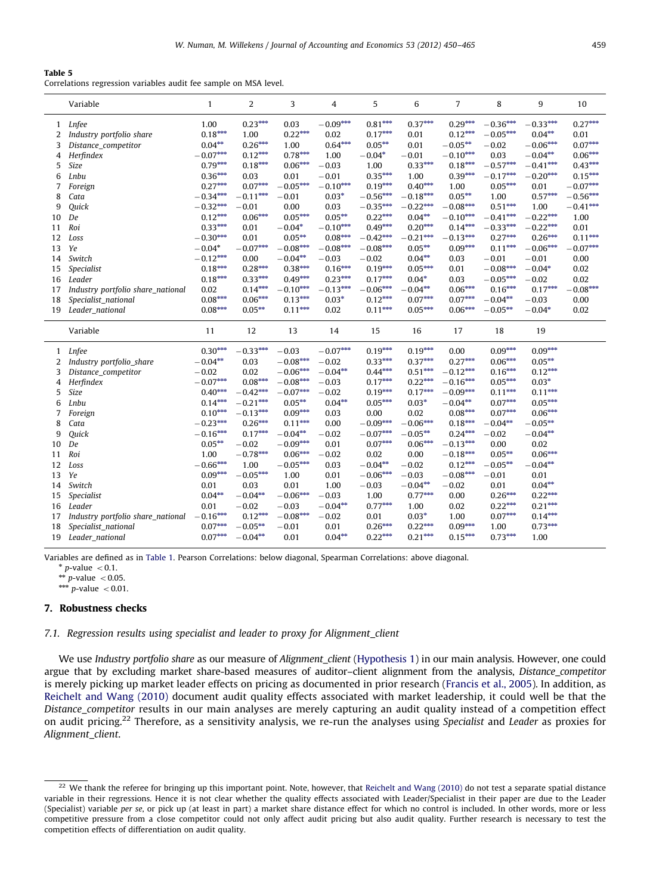<span id="page-9-0"></span>Correlations regression variables audit fee sample on MSA level.

|    | Variable                               | $\mathbf{1}$           | $\overline{2}$           | 3               | 4                 | 5                      | 6                      | 7                      | 8                 | 9                 | 10         |
|----|----------------------------------------|------------------------|--------------------------|-----------------|-------------------|------------------------|------------------------|------------------------|-------------------|-------------------|------------|
| 1  | <b>Lnfee</b>                           | 1.00                   | $0.23***$                | 0.03            | $-0.09***$        | $0.81***$              | $0.37***$              | $0.29***$              | $-0.36***$        | $-0.33***$        | $0.27***$  |
| 2  | Industry portfolio share               | $0.18***$              | 1.00                     | $0.22***$       | 0.02              | $0.17***$              | 0.01                   | $0.12***$              | $-0.05***$        | $0.04***$         | 0.01       |
| 3  | Distance_competitor                    | $0.04***$              | $0.26***$                | 1.00            | $0.64***$         | $0.05***$              | 0.01                   | $-0.05***$             | $-0.02$           | $-0.06***$        | $0.07***$  |
| 4  | Herfindex                              | $-0.07***$             | $0.12***$                | $0.78***$       | 1.00              | $-0.04*$               | $-0.01$                | $-0.10***$             | 0.03              | $-0.04***$        | $0.06***$  |
| 5  | Size                                   | $0.79***$              | $0.18***$                | $0.06***$       | $-0.03$           | 1.00                   | $0.33***$              | $0.18***$              | $-0.57***$        | $-0.41***$        | $0.43***$  |
| 6  | Lnbu                                   | $0.36***$              | 0.03                     | 0.01            | $-0.01$           | $0.35***$              | 1.00                   | $0.39***$              | $-0.17***$        | $-0.20***$        | $0.15***$  |
| 7  | Foreign                                | $0.27***$              | $0.07***$                | $-0.05***$      | $-0.10***$        | $0.19***$              | $0.40***$              | 1.00                   | $0.05***$         | 0.01              | $-0.07***$ |
| 8  | Cata                                   | $-0.34***$             | $-0.11***$               | $-0.01$         | $0.03*$           | $-0.56***$             | $-0.18***$             | $0.05***$              | 1.00              | $0.57***$         | $-0.56***$ |
| 9  | <b>Ouick</b>                           | $-0.32***$             | $-0.01$                  | 0.00            | 0.03              | $-0.35***$             | $-0.22***$             | $-0.08***$             | $0.51***$         | 1.00              | $-0.41***$ |
| 10 | De                                     | $0.12***$              | $0.06***$                | $0.05***$       | $0.05***$         | $0.22***$              | $0.04***$              | $-0.10***$             | $-0.41***$        | $-0.22***$        | 1.00       |
| 11 | Roi                                    | $0.33***$              | 0.01                     | $-0.04*$        | $-0.10***$        | $0.49***$              | $0.20***$              | $0.14***$              | $-0.33***$        | $-0.22***$        | 0.01       |
| 12 | Loss                                   | $-0.30***$             | 0.01                     | $0.05***$       | $0.08***$         | $-0.42***$             | $-0.21***$             | $-0.13***$             | $0.27***$         | $0.26***$         | $0.11***$  |
| 13 | Ye                                     | $-0.04*$               | $-0.07***$               | $-0.08***$      | $-0.08***$        | $-0.08***$             | $0.05***$              | $0.09***$              | $0.11***$         | $-0.06***$        | $0.07***$  |
| 14 | Switch                                 | $-0.12***$             | 0.00                     | $-0.04***$      | $-0.03$           | $-0.02$                | $0.04***$              | 0.03                   | $-0.01$           | $-0.01$           | 0.00       |
| 15 | Specialist                             | $0.18***$              | $0.28***$                | $0.38***$       | $0.16***$         | $0.19***$              | $0.05***$              | 0.01                   | $-0.08***$        | $-0.04*$          | 0.02       |
| 16 | Leader                                 | $0.18***$              | $0.33***$                | $0.49***$       | $0.23***$         | $0.17***$              | $0.04*$                | 0.03                   | $-0.05***$        | $-0.02$           | 0.02       |
| 17 | Industry portfolio share_national      | 0.02                   | $0.14***$                | $-0.10***$      | $-0.13***$        | $-0.06***$             | $-0.04***$             | $0.06***$              | $0.16***$         | $0.17***$         | $-0.08***$ |
| 18 | Specialist_national                    | $0.08***$              | $0.06***$                | $0.13***$       | $0.03*$           | $0.12***$              | $0.07***$              | $0.07***$              | $-0.04**$         | $-0.03$           | 0.00       |
| 19 | Leader_national                        | $0.08***$              | $0.05***$                | $0.11***$       | 0.02              | $0.11***$              | $0.05***$              | $0.06***$              | $-0.05***$        | $-0.04*$          | 0.02       |
|    |                                        |                        |                          |                 |                   |                        |                        |                        |                   |                   |            |
|    | Variable                               | 11                     | 12                       | 13              | 14                | 15                     | 16                     | 17                     | 18                | 19                |            |
| 1  | Lnfee                                  | $0.30***$              | $-0.33***$               | $-0.03$         | $-0.07***$        | $0.19***$              | $0.19***$              | 0.00                   | $0.09***$         | $0.09***$         |            |
| 2  | Industry portfolio_share               | $-0.04***$             | 0.03                     | $-0.08***$      | $-0.02$           | $0.33***$              | $0.37***$              | $0.27***$              | $0.06***$         | $0.05***$         |            |
| 3  | Distance_competitor                    | $-0.02$                | 0.02                     | $-0.06***$      | $-0.04***$        | $0.44***$              | $0.51***$              | $-0.12***$             | $0.16***$         | $0.12***$         |            |
| 4  | Herfindex                              | $-0.07***$             | $0.08***$                | $-0.08***$      | $-0.03$           | $0.17***$              | $0.22***$              | $-0.16***$             | $0.05***$         | $0.03*$           |            |
| 5  | Size                                   | $0.40***$              | $-0.42***$               | $-0.07***$      | $-0.02$           | $0.19***$              | $0.17***$              | $-0.09***$             | $0.11***$         | $0.11***$         |            |
| 6  | Lnbu                                   | $0.14***$              | $-0.21***$               | $0.05***$       | $0.04**$          | $0.05***$              | $0.03*$                | $-0.04**$              | $0.07***$         | $0.05***$         |            |
| 7  | Foreign                                | $0.10***$              | $-0.13***$               | $0.09***$       | 0.03              | 0.00                   | 0.02                   | $0.08***$              | $0.07***$         | $0.06***$         |            |
| 8  | Cata                                   | $-0.23***$             | $0.26***$                | $0.11***$       | 0.00              | $-0.09***$             | $-0.06***$             | $0.18***$              | $-0.04**$         | $-0.05***$        |            |
| 9  | <b>Quick</b>                           | $-0.16***$             | $0.17***$                | $-0.04***$      | $-0.02$           | $-0.07***$             | $-0.05***$             | $0.24***$              | $-0.02$           | $-0.04***$        |            |
| 10 | De                                     | $0.05***$              | $-0.02$                  | $-0.09***$      | 0.01              | $0.07***$              | $0.06***$              | $-0.13***$             | 0.00              | 0.02              |            |
| 11 | Roi                                    | 1.00                   | $-0.78***$               | $0.06***$       | $-0.02$           | 0.02                   | 0.00                   | $-0.18***$             | $0.05***$         | $0.06***$         |            |
| 12 | Loss                                   | $-0.66***$             | 1.00                     | $-0.05***$      | 0.03              | $-0.04***$             | $-0.02$                | $0.12***$              | $-0.05***$        | $-0.04***$        |            |
| 13 | Ye                                     | $0.09***$              | $-0.05***$               | 1.00            | 0.01              | $-0.06***$             | $-0.03$                | $-0.08***$             | $-0.01$           | 0.01              |            |
| 14 | Switch                                 | 0.01                   | 0.03                     | 0.01            | 1.00              | $-0.03$                | $-0.04**$              | $-0.02$                | 0.01              | $0.04***$         |            |
| 15 | Specialist                             | $0.04***$              | $-0.04**$                | $-0.06***$      | $-0.03$           | 1.00                   | $0.77***$              | 0.00                   | $0.26***$         | $0.22***$         |            |
| 16 | Leader                                 | 0.01                   | $-0.02$                  | $-0.03$         | $-0.04***$        | $0.77***$              | 1.00                   | 0.02                   | $0.22***$         | $0.21***$         |            |
| 17 | Industry portfolio share_national      | $-0.16***$             | $0.12***$                | $-0.08***$      | $-0.02$           | 0.01                   | $0.03*$                | 1.00                   | $0.07***$         | $0.14***$         |            |
| 18 | Specialist national<br>Leader_national | $0.07***$<br>$0.07***$ | $-0.05***$<br>$-0.04***$ | $-0.01$<br>0.01 | 0.01<br>$0.04***$ | $0.26***$<br>$0.22***$ | $0.22***$<br>$0.21***$ | $0.09***$<br>$0.15***$ | 1.00<br>$0.73***$ | $0.73***$<br>1.00 |            |

Variables are defined as in [Table 1.](#page-5-0) Pearson Correlations: below diagonal, Spearman Correlations: above diagonal.<br>
\* p-value < 0.1. <br>
\*\* p-value < 0.05. <br>
\*\* p-value < 0.01.

# 7. Robustness checks

## 7.1. Regression results using specialist and leader to proxy for Alignment\_client

We use Industry portfolio share as our measure of Alignment client ([Hypothesis 1\)](#page-3-0) in our main analysis. However, one could argue that by excluding market share-based measures of auditor-client alignment from the analysis, Distance competitor is merely picking up market leader effects on pricing as documented in prior research [\(Francis et al., 2005\)](#page-15-0). In addition, as [Reichelt and Wang \(2010\)](#page-15-0) document audit quality effects associated with market leadership, it could well be that the Distance\_competitor results in our main analyses are merely capturing an audit quality instead of a competition effect on audit pricing.22 Therefore, as a sensitivity analysis, we re-run the analyses using Specialist and Leader as proxies for Alignment client.

 We thank the referee for bringing up this important point. Note, however, that [Reichelt and Wang \(2010\)](#page-15-0) do not test a separate spatial distance variable in their regressions. Hence it is not clear whether the quality effects associated with Leader/Specialist in their paper are due to the Leader (Specialist) variable per se, or pick up (at least in part) a market share distance effect for which no control is included. In other words, more or less competitive pressure from a close competitor could not only affect audit pricing but also audit quality. Further research is necessary to test the competition effects of differentiation on audit quality.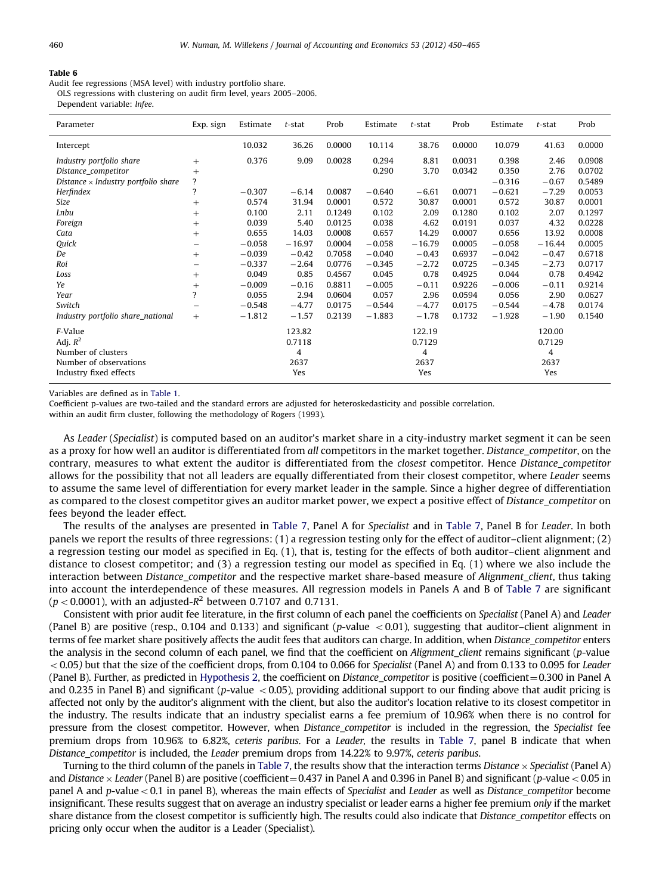<span id="page-10-0"></span>Audit fee regressions (MSA level) with industry portfolio share. OLS regressions with clustering on audit firm level, years 2005–2006. Dependent variable: lnfee.

| Parameter                                  | Exp. sign                | Estimate | $t$ -stat | Prob   | Estimate | $t$ -stat | Prob   | Estimate | $t$ -stat | Prob   |
|--------------------------------------------|--------------------------|----------|-----------|--------|----------|-----------|--------|----------|-----------|--------|
| Intercept                                  |                          | 10.032   | 36.26     | 0.0000 | 10.114   | 38.76     | 0.0000 | 10.079   | 41.63     | 0.0000 |
| Industry portfolio share                   | $^{+}$                   | 0.376    | 9.09      | 0.0028 | 0.294    | 8.81      | 0.0031 | 0.398    | 2.46      | 0.0908 |
| Distance_competitor                        | $^{+}$                   |          |           |        | 0.290    | 3.70      | 0.0342 | 0.350    | 2.76      | 0.0702 |
| Distance $\times$ Industry portfolio share | $\overline{\mathbf{?}}$  |          |           |        |          |           |        | $-0.316$ | $-0.67$   | 0.5489 |
| Herfindex                                  | $\overline{\mathbf{?}}$  | $-0.307$ | $-6.14$   | 0.0087 | $-0.640$ | $-6.61$   | 0.0071 | $-0.621$ | $-7.29$   | 0.0053 |
| Size                                       | $^{+}$                   | 0.574    | 31.94     | 0.0001 | 0.572    | 30.87     | 0.0001 | 0.572    | 30.87     | 0.0001 |
| Lnbu                                       | $^{+}$                   | 0.100    | 2.11      | 0.1249 | 0.102    | 2.09      | 0.1280 | 0.102    | 2.07      | 0.1297 |
| Foreign                                    | $^{+}$                   | 0.039    | 5.40      | 0.0125 | 0.038    | 4.62      | 0.0191 | 0.037    | 4.32      | 0.0228 |
| Cata                                       | $^{+}$                   | 0.655    | 14.03     | 0.0008 | 0.657    | 14.29     | 0.0007 | 0.656    | 13.92     | 0.0008 |
| Quick                                      | -                        | $-0.058$ | $-16.97$  | 0.0004 | $-0.058$ | $-16.79$  | 0.0005 | $-0.058$ | $-16.44$  | 0.0005 |
| De                                         | $^{+}$                   | $-0.039$ | $-0.42$   | 0.7058 | $-0.040$ | $-0.43$   | 0.6937 | $-0.042$ | $-0.47$   | 0.6718 |
| Roi                                        | $\overline{\phantom{0}}$ | $-0.337$ | $-2.64$   | 0.0776 | $-0.345$ | $-2.72$   | 0.0725 | $-0.345$ | $-2.73$   | 0.0717 |
| Loss                                       | $^{+}$                   | 0.049    | 0.85      | 0.4567 | 0.045    | 0.78      | 0.4925 | 0.044    | 0.78      | 0.4942 |
| Ye.                                        | $^{+}$                   | $-0.009$ | $-0.16$   | 0.8811 | $-0.005$ | $-0.11$   | 0.9226 | $-0.006$ | $-0.11$   | 0.9214 |
| Year                                       | $\overline{\mathbf{?}}$  | 0.055    | 2.94      | 0.0604 | 0.057    | 2.96      | 0.0594 | 0.056    | 2.90      | 0.0627 |
| Switch                                     |                          | $-0.548$ | $-4.77$   | 0.0175 | $-0.544$ | $-4.77$   | 0.0175 | $-0.544$ | $-4.78$   | 0.0174 |
| Industry portfolio share_national          | $^{+}$                   | $-1.812$ | $-1.57$   | 0.2139 | $-1.883$ | $-1.78$   | 0.1732 | $-1.928$ | $-1.90$   | 0.1540 |
| F-Value                                    |                          |          | 123.82    |        |          | 122.19    |        |          | 120.00    |        |
| Adj. $R^2$                                 |                          |          | 0.7118    |        |          | 0.7129    |        |          | 0.7129    |        |
| Number of clusters                         |                          |          | 4         |        |          | 4         |        |          | 4         |        |
| Number of observations                     |                          |          | 2637      |        |          | 2637      |        |          | 2637      |        |
| Industry fixed effects                     |                          |          | Yes       |        |          | Yes       |        |          | Yes       |        |

Variables are defined as in [Table 1.](#page-5-0)

Coefficient p-values are two-tailed and the standard errors are adjusted for heteroskedasticity and possible correlation.

within an audit firm cluster, following the methodology of Rogers (1993).

As Leader (Specialist) is computed based on an auditor's market share in a city-industry market segment it can be seen as a proxy for how well an auditor is differentiated from all competitors in the market together. Distance\_competitor, on the contrary, measures to what extent the auditor is differentiated from the closest competitor. Hence Distance\_competitor allows for the possibility that not all leaders are equally differentiated from their closest competitor, where Leader seems to assume the same level of differentiation for every market leader in the sample. Since a higher degree of differentiation as compared to the closest competitor gives an auditor market power, we expect a positive effect of Distance\_competitor on fees beyond the leader effect.

The results of the analyses are presented in [Table 7,](#page-11-0) Panel A for Specialist and in [Table 7](#page-11-0), Panel B for Leader. In both panels we report the results of three regressions: (1) a regression testing only for the effect of auditor–client alignment; (2) a regression testing our model as specified in Eq. (1), that is, testing for the effects of both auditor–client alignment and distance to closest competitor; and (3) a regression testing our model as specified in Eq. (1) where we also include the interaction between Distance\_competitor and the respective market share-based measure of Alignment\_client, thus taking into account the interdependence of these measures. All regression models in Panels A and B of [Table 7](#page-11-0) are significant  $(p < 0.0001)$ , with an adjusted- $R^2$  between 0.7107 and 0.7131.

Consistent with prior audit fee literature, in the first column of each panel the coefficients on Specialist (Panel A) and Leader (Panel B) are positive (resp., 0.104 and 0.133) and significant (p-value  $< 0.01$ ), suggesting that auditor-client alignment in terms of fee market share positively affects the audit fees that auditors can charge. In addition, when Distance\_competitor enters the analysis in the second column of each panel, we find that the coefficient on Alignment client remains significant (p-value  $<$  0.05) but that the size of the coefficient drops, from 0.104 to 0.066 for Specialist (Panel A) and from 0.133 to 0.095 for Leader (Panel B). Further, as predicted in [Hypothesis 2](#page-3-0), the coefficient on Distance competitor is positive (coefficient $= 0.300$  in Panel A and 0.235 in Panel B) and significant (p-value  $<$  0.05), providing additional support to our finding above that audit pricing is affected not only by the auditor's alignment with the client, but also the auditor's location relative to its closest competitor in the industry. The results indicate that an industry specialist earns a fee premium of 10.96% when there is no control for pressure from the closest competitor. However, when Distance\_competitor is included in the regression, the Specialist fee premium drops from 10.96% to 6.82%, ceteris paribus. For a Leader, the results in [Table 7](#page-11-0), panel B indicate that when Distance\_competitor is included, the Leader premium drops from 14.22% to 9.97%, ceteris paribus.

Turning to the third column of the panels in [Table 7](#page-11-0), the results show that the interaction terms Distance  $\times$  Specialist (Panel A) and Distance  $\times$  Leader (Panel B) are positive (coefficient = 0.437 in Panel A and 0.396 in Panel B) and significant (p-value  $<$  0.05 in panel A and p-value < 0.1 in panel B), whereas the main effects of Specialist and Leader as well as Distance\_competitor become insignificant. These results suggest that on average an industry specialist or leader earns a higher fee premium only if the market share distance from the closest competitor is sufficiently high. The results could also indicate that Distance\_competitor effects on pricing only occur when the auditor is a Leader (Specialist).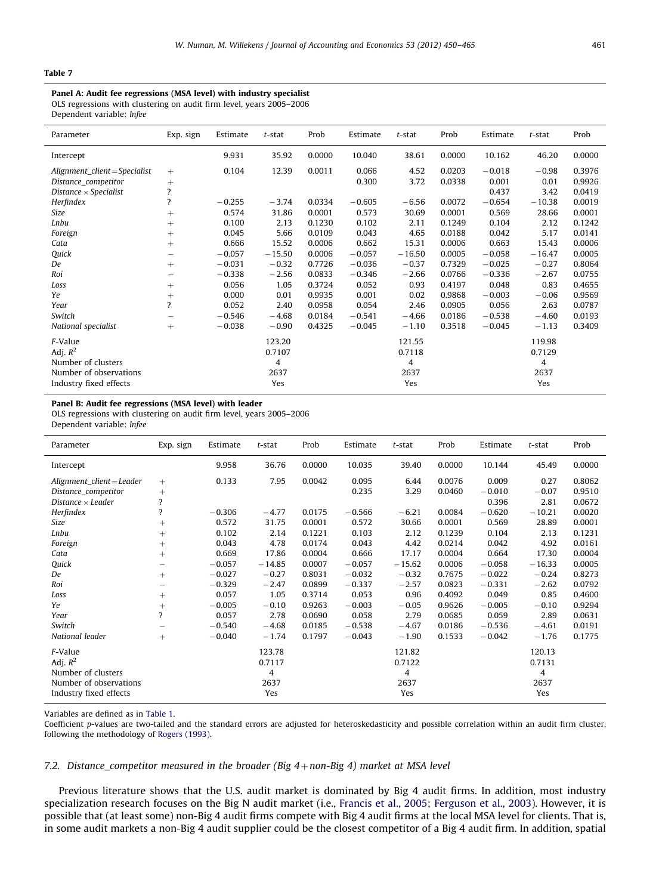#### <span id="page-11-0"></span>Panel A: Audit fee regressions (MSA level) with industry specialist

OLS regressions with clustering on audit firm level, years 2005–2006

Dependent variable: lnfee

| Parameter                    | Exp. sign                | Estimate | $t$ -stat | Prob   | Estimate | $t$ -stat | Prob   | Estimate | $t$ -stat | Prob   |
|------------------------------|--------------------------|----------|-----------|--------|----------|-----------|--------|----------|-----------|--------|
| Intercept                    |                          | 9.931    | 35.92     | 0.0000 | 10.040   | 38.61     | 0.0000 | 10.162   | 46.20     | 0.0000 |
| Alignment_client=Specialist  | $^{+}$                   | 0.104    | 12.39     | 0.0011 | 0.066    | 4.52      | 0.0203 | $-0.018$ | $-0.98$   | 0.3976 |
| Distance_competitor          | $^{+}$                   |          |           |        | 0.300    | 3.72      | 0.0338 | 0.001    | 0.01      | 0.9926 |
| Distance $\times$ Specialist | ?                        |          |           |        |          |           |        | 0.437    | 3.42      | 0.0419 |
| Herfindex                    | $\overline{\phantom{a}}$ | $-0.255$ | $-3.74$   | 0.0334 | $-0.605$ | $-6.56$   | 0.0072 | $-0.654$ | $-10.38$  | 0.0019 |
| Size                         | $^{+}$                   | 0.574    | 31.86     | 0.0001 | 0.573    | 30.69     | 0.0001 | 0.569    | 28.66     | 0.0001 |
| Lnbu                         | $^{+}$                   | 0.100    | 2.13      | 0.1230 | 0.102    | 2.11      | 0.1249 | 0.104    | 2.12      | 0.1242 |
| Foreign                      | $^{+}$                   | 0.045    | 5.66      | 0.0109 | 0.043    | 4.65      | 0.0188 | 0.042    | 5.17      | 0.0141 |
| Cata                         | $^{+}$                   | 0.666    | 15.52     | 0.0006 | 0.662    | 15.31     | 0.0006 | 0.663    | 15.43     | 0.0006 |
| Quick                        | -                        | $-0.057$ | $-15.50$  | 0.0006 | $-0.057$ | $-16.50$  | 0.0005 | $-0.058$ | $-16.47$  | 0.0005 |
| De                           | $^{+}$                   | $-0.031$ | $-0.32$   | 0.7726 | $-0.036$ | $-0.37$   | 0.7329 | $-0.025$ | $-0.27$   | 0.8064 |
| Roi                          | -                        | $-0.338$ | $-2.56$   | 0.0833 | $-0.346$ | $-2.66$   | 0.0766 | $-0.336$ | $-2.67$   | 0.0755 |
| Loss                         | $^{+}$                   | 0.056    | 1.05      | 0.3724 | 0.052    | 0.93      | 0.4197 | 0.048    | 0.83      | 0.4655 |
| Ye                           |                          | 0.000    | 0.01      | 0.9935 | 0.001    | 0.02      | 0.9868 | $-0.003$ | $-0.06$   | 0.9569 |
| Year                         | $\overline{\phantom{a}}$ | 0.052    | 2.40      | 0.0958 | 0.054    | 2.46      | 0.0905 | 0.056    | 2.63      | 0.0787 |
| Switch                       | -                        | $-0.546$ | $-4.68$   | 0.0184 | $-0.541$ | $-4.66$   | 0.0186 | $-0.538$ | $-4.60$   | 0.0193 |
| National specialist          | $^{+}$                   | $-0.038$ | $-0.90$   | 0.4325 | $-0.045$ | $-1.10$   | 0.3518 | $-0.045$ | $-1.13$   | 0.3409 |
| F-Value                      |                          |          | 123.20    |        |          | 121.55    |        |          | 119.98    |        |
| Adj. $R^2$                   |                          |          | 0.7107    |        |          | 0.7118    |        |          | 0.7129    |        |
| Number of clusters           |                          |          | 4         |        |          | 4         |        |          | 4         |        |
| Number of observations       |                          |          | 2637      |        |          | 2637      |        |          | 2637      |        |
| Industry fixed effects       |                          |          | Yes       |        |          | Yes       |        |          | Yes       |        |

# Panel B: Audit fee regressions (MSA level) with leader

OLS regressions with clustering on audit firm level, years 2005–2006

Dependent variable: lnfee

| Parameter                                                                                       | Exp. sign                | Estimate | t-stat                               | Prob   | Estimate | $t$ -stat                            | Prob   | Estimate | t-stat                               | Prob   |
|-------------------------------------------------------------------------------------------------|--------------------------|----------|--------------------------------------|--------|----------|--------------------------------------|--------|----------|--------------------------------------|--------|
| Intercept                                                                                       |                          | 9.958    | 36.76                                | 0.0000 | 10.035   | 39.40                                | 0.0000 | 10.144   | 45.49                                | 0.0000 |
| Alignment_client=Leader                                                                         | $^{+}$                   | 0.133    | 7.95                                 | 0.0042 | 0.095    | 6.44                                 | 0.0076 | 0.009    | 0.27                                 | 0.8062 |
| Distance_competitor                                                                             | $^{+}$                   |          |                                      |        | 0.235    | 3.29                                 | 0.0460 | $-0.010$ | $-0.07$                              | 0.9510 |
| Distance $\times$ Leader                                                                        | ?                        |          |                                      |        |          |                                      |        | 0.396    | 2.81                                 | 0.0672 |
| Herfindex                                                                                       | $\overline{\phantom{a}}$ | $-0.306$ | $-4.77$                              | 0.0175 | $-0.566$ | $-6.21$                              | 0.0084 | $-0.620$ | $-10.21$                             | 0.0020 |
| Size                                                                                            | $^{+}$                   | 0.572    | 31.75                                | 0.0001 | 0.572    | 30.66                                | 0.0001 | 0.569    | 28.89                                | 0.0001 |
| Lnbu                                                                                            | $^{+}$                   | 0.102    | 2.14                                 | 0.1221 | 0.103    | 2.12                                 | 0.1239 | 0.104    | 2.13                                 | 0.1231 |
| Foreign                                                                                         | $^{+}$                   | 0.043    | 4.78                                 | 0.0174 | 0.043    | 4.42                                 | 0.0214 | 0.042    | 4.92                                 | 0.0161 |
| Cata                                                                                            | $^{+}$                   | 0.669    | 17.86                                | 0.0004 | 0.666    | 17.17                                | 0.0004 | 0.664    | 17.30                                | 0.0004 |
| Quick                                                                                           | -                        | $-0.057$ | $-14.85$                             | 0.0007 | $-0.057$ | $-15.62$                             | 0.0006 | $-0.058$ | $-16.33$                             | 0.0005 |
| De                                                                                              | $^{+}$                   | $-0.027$ | $-0.27$                              | 0.8031 | $-0.032$ | $-0.32$                              | 0.7675 | $-0.022$ | $-0.24$                              | 0.8273 |
| Roi                                                                                             |                          | $-0.329$ | $-2.47$                              | 0.0899 | $-0.337$ | $-2.57$                              | 0.0823 | $-0.331$ | $-2.62$                              | 0.0792 |
| Loss                                                                                            | $^{+}$                   | 0.057    | 1.05                                 | 0.3714 | 0.053    | 0.96                                 | 0.4092 | 0.049    | 0.85                                 | 0.4600 |
| Ye                                                                                              | $^{+}$                   | $-0.005$ | $-0.10$                              | 0.9263 | $-0.003$ | $-0.05$                              | 0.9626 | $-0.005$ | $-0.10$                              | 0.9294 |
| Year                                                                                            | $\overline{\phantom{a}}$ | 0.057    | 2.78                                 | 0.0690 | 0.058    | 2.79                                 | 0.0685 | 0.059    | 2.89                                 | 0.0631 |
| Switch                                                                                          |                          | $-0.540$ | $-4.68$                              | 0.0185 | $-0.538$ | $-4.67$                              | 0.0186 | $-0.536$ | $-4.61$                              | 0.0191 |
| National leader                                                                                 | $^{+}$                   | $-0.040$ | $-1.74$                              | 0.1797 | $-0.043$ | $-1.90$                              | 0.1533 | $-0.042$ | $-1.76$                              | 0.1775 |
| F-Value<br>Adj. $R^2$<br>Number of clusters<br>Number of observations<br>Industry fixed effects |                          |          | 123.78<br>0.7117<br>4<br>2637<br>Yes |        |          | 121.82<br>0.7122<br>4<br>2637<br>Yes |        |          | 120.13<br>0.7131<br>4<br>2637<br>Yes |        |

Variables are defined as in [Table 1.](#page-5-0)

Coefficient p-values are two-tailed and the standard errors are adjusted for heteroskedasticity and possible correlation within an audit firm cluster, following the methodology of [Rogers \(1993\)](#page-15-0).

#### 7.2. Distance\_competitor measured in the broader (Big  $4+$ non-Big 4) market at MSA level

Previous literature shows that the U.S. audit market is dominated by Big 4 audit firms. In addition, most industry specialization research focuses on the Big N audit market (i.e., [Francis et al., 2005;](#page-15-0) [Ferguson et al., 2003](#page-15-0)). However, it is possible that (at least some) non-Big 4 audit firms compete with Big 4 audit firms at the local MSA level for clients. That is, in some audit markets a non-Big 4 audit supplier could be the closest competitor of a Big 4 audit firm. In addition, spatial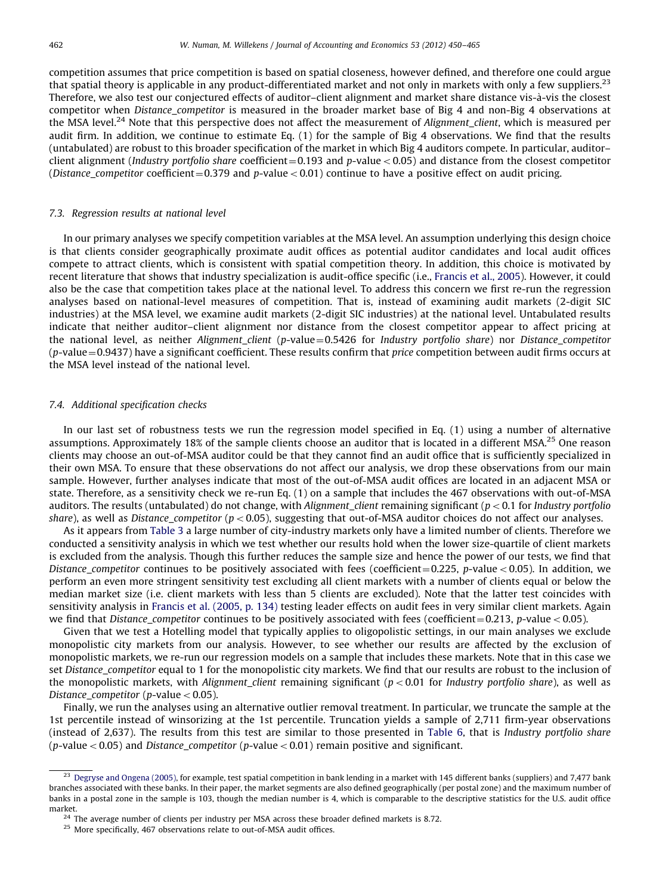competition assumes that price competition is based on spatial closeness, however defined, and therefore one could argue that spatial theory is applicable in any product-differentiated market and not only in markets with only a few suppliers.<sup>23</sup> Therefore, we also test our conjectured effects of auditor–client alignment and market share distance vis-à-vis the closest competitor when Distance competitor is measured in the broader market base of Big 4 and non-Big 4 observations at the MSA level.<sup>24</sup> Note that this perspective does not affect the measurement of *Alignment\_client*, which is measured per audit firm. In addition, we continue to estimate Eq. (1) for the sample of Big 4 observations. We find that the results (untabulated) are robust to this broader specification of the market in which Big 4 auditors compete. In particular, auditor– client alignment (*Industry portfolio share coefficient* = 0.193 and p-value  $< 0.05$ ) and distance from the closest competitor (Distance\_competitor coefficient = 0.379 and p-value < 0.01) continue to have a positive effect on audit pricing.

### 7.3. Regression results at national level

In our primary analyses we specify competition variables at the MSA level. An assumption underlying this design choice is that clients consider geographically proximate audit offices as potential auditor candidates and local audit offices compete to attract clients, which is consistent with spatial competition theory. In addition, this choice is motivated by recent literature that shows that industry specialization is audit-office specific (i.e., [Francis et al., 2005](#page-15-0)). However, it could also be the case that competition takes place at the national level. To address this concern we first re-run the regression analyses based on national-level measures of competition. That is, instead of examining audit markets (2-digit SIC industries) at the MSA level, we examine audit markets (2-digit SIC industries) at the national level. Untabulated results indicate that neither auditor–client alignment nor distance from the closest competitor appear to affect pricing at the national level, as neither Alignment\_client (p-value =  $0.5426$  for Industry portfolio share) nor Distance\_competitor  $(p$ -value = 0.9437) have a significant coefficient. These results confirm that price competition between audit firms occurs at the MSA level instead of the national level.

## 7.4. Additional specification checks

In our last set of robustness tests we run the regression model specified in Eq. (1) using a number of alternative assumptions. Approximately 18% of the sample clients choose an auditor that is located in a different MSA.<sup>25</sup> One reason clients may choose an out-of-MSA auditor could be that they cannot find an audit office that is sufficiently specialized in their own MSA. To ensure that these observations do not affect our analysis, we drop these observations from our main sample. However, further analyses indicate that most of the out-of-MSA audit offices are located in an adjacent MSA or state. Therefore, as a sensitivity check we re-run Eq. (1) on a sample that includes the 467 observations with out-of-MSA auditors. The results (untabulated) do not change, with Alignment\_client remaining significant ( $p < 0.1$  for Industry portfolio share), as well as Distance\_competitor ( $p < 0.05$ ), suggesting that out-of-MSA auditor choices do not affect our analyses.

As it appears from [Table 3](#page-7-0) a large number of city-industry markets only have a limited number of clients. Therefore we conducted a sensitivity analysis in which we test whether our results hold when the lower size-quartile of client markets is excluded from the analysis. Though this further reduces the sample size and hence the power of our tests, we find that Distance\_competitor continues to be positively associated with fees (coefficient = 0.225, p-value < 0.05). In addition, we perform an even more stringent sensitivity test excluding all client markets with a number of clients equal or below the median market size (i.e. client markets with less than 5 clients are excluded). Note that the latter test coincides with sensitivity analysis in [Francis et al. \(2005, p. 134\)](#page-15-0) testing leader effects on audit fees in very similar client markets. Again we find that Distance\_competitor continues to be positively associated with fees (coefficient =  $0.213$ , p-value <  $0.05$ ).

Given that we test a Hotelling model that typically applies to oligopolistic settings, in our main analyses we exclude monopolistic city markets from our analysis. However, to see whether our results are affected by the exclusion of monopolistic markets, we re-run our regression models on a sample that includes these markets. Note that in this case we set Distance\_competitor equal to 1 for the monopolistic city markets. We find that our results are robust to the inclusion of the monopolistic markets, with Alignment\_client remaining significant ( $p < 0.01$  for Industry portfolio share), as well as Distance competitor (p-value  $< 0.05$ ).

Finally, we run the analyses using an alternative outlier removal treatment. In particular, we truncate the sample at the 1st percentile instead of winsorizing at the 1st percentile. Truncation yields a sample of 2,711 firm-year observations (instead of 2,637). The results from this test are similar to those presented in [Table 6](#page-10-0), that is Industry portfolio share (*p*-value < 0.05) and Distance competitor (*p*-value < 0.01) remain positive and significant.

 $23$  [Degryse and Ongena \(2005\)](#page-14-0), for example, test spatial competition in bank lending in a market with 145 different banks (suppliers) and 7,477 bank branches associated with these banks. In their paper, the market segments are also defined geographically (per postal zone) and the maximum number of banks in a postal zone in the sample is 103, though the median number is 4, which is comparable to the descriptive statistics for the U.S. audit office market.

 $24$  The average number of clients per industry per MSA across these broader defined markets is 8.72.

<sup>&</sup>lt;sup>25</sup> More specifically, 467 observations relate to out-of-MSA audit offices.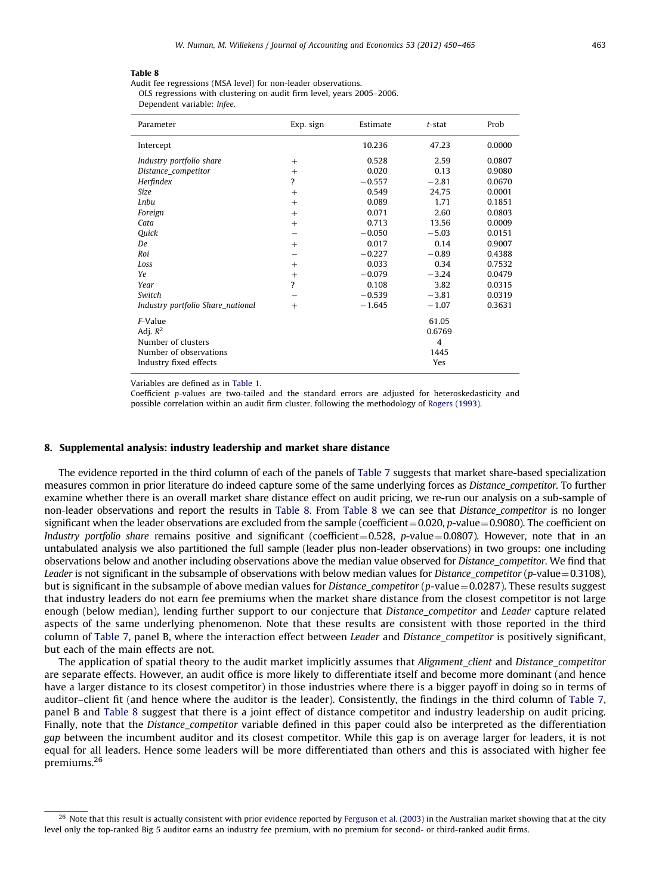<span id="page-13-0"></span>Audit fee regressions (MSA level) for non-leader observations. OLS regressions with clustering on audit firm level, years 2005–2006. Dependent variable: lnfee.

| Parameter                         | Exp. sign                | Estimate | t-stat  | Prob   |
|-----------------------------------|--------------------------|----------|---------|--------|
| Intercept                         |                          | 10.236   | 47.23   | 0.0000 |
| Industry portfolio share          | $^{+}$                   | 0.528    | 2.59    | 0.0807 |
| Distance_competitor               | $^{+}$                   | 0.020    | 0.13    | 0.9080 |
| Herfindex                         | $\overline{\phantom{a}}$ | $-0.557$ | $-2.81$ | 0.0670 |
| Size                              | $^{+}$                   | 0.549    | 24.75   | 0.0001 |
| Lnbu                              | $^{+}$                   | 0.089    | 1.71    | 0.1851 |
| Foreign                           | $^{+}$                   | 0.071    | 2.60    | 0.0803 |
| Cata                              | $+$                      | 0.713    | 13.56   | 0.0009 |
| Quick                             |                          | $-0.050$ | $-5.03$ | 0.0151 |
| De.                               | $^{+}$                   | 0.017    | 0.14    | 0.9007 |
| Roi                               |                          | $-0.227$ | $-0.89$ | 0.4388 |
| Loss                              | $^{+}$                   | 0.033    | 0.34    | 0.7532 |
| Ye                                | $^{+}$                   | $-0.079$ | $-3.24$ | 0.0479 |
| Year                              | ?                        | 0.108    | 3.82    | 0.0315 |
| Switch                            |                          | $-0.539$ | $-3.81$ | 0.0319 |
| Industry portfolio Share_national | $^{+}$                   | $-1.645$ | $-1.07$ | 0.3631 |
| F-Value                           |                          |          | 61.05   |        |
| Adj. $R^2$                        |                          |          | 0.6769  |        |
| Number of clusters                |                          |          | 4       |        |
| Number of observations            |                          |          | 1445    |        |
| Industry fixed effects            |                          |          | Yes     |        |

Variables are defined as in [Table 1.](#page-5-0)

Coefficient p-values are two-tailed and the standard errors are adjusted for heteroskedasticity and possible correlation within an audit firm cluster, following the methodology of [Rogers \(1993\).](#page-15-0)

## 8. Supplemental analysis: industry leadership and market share distance

The evidence reported in the third column of each of the panels of [Table 7](#page-11-0) suggests that market share-based specialization measures common in prior literature do indeed capture some of the same underlying forces as Distance competitor. To further examine whether there is an overall market share distance effect on audit pricing, we re-run our analysis on a sub-sample of non-leader observations and report the results in Table 8. From Table 8 we can see that Distance competitor is no longer significant when the leader observations are excluded from the sample (coefficient =  $0.020$ , p-value =  $0.9080$ ). The coefficient on Industry portfolio share remains positive and significant (coefficient= $0.528$ , p-value= $0.0807$ ). However, note that in an untabulated analysis we also partitioned the full sample (leader plus non-leader observations) in two groups: one including observations below and another including observations above the median value observed for Distance\_competitor. We find that Leader is not significant in the subsample of observations with below median values for Distance competitor (p-value =  $0.3108$ ), but is significant in the subsample of above median values for Distance\_competitor (p-value=0.0287). These results suggest that industry leaders do not earn fee premiums when the market share distance from the closest competitor is not large enough (below median), lending further support to our conjecture that Distance\_competitor and Leader capture related aspects of the same underlying phenomenon. Note that these results are consistent with those reported in the third column of [Table 7,](#page-11-0) panel B, where the interaction effect between Leader and Distance\_competitor is positively significant, but each of the main effects are not.

The application of spatial theory to the audit market implicitly assumes that Alignment\_client and Distance\_competitor are separate effects. However, an audit office is more likely to differentiate itself and become more dominant (and hence have a larger distance to its closest competitor) in those industries where there is a bigger payoff in doing so in terms of auditor–client fit (and hence where the auditor is the leader). Consistently, the findings in the third column of [Table 7](#page-11-0), panel B and Table 8 suggest that there is a joint effect of distance competitor and industry leadership on audit pricing. Finally, note that the Distance\_competitor variable defined in this paper could also be interpreted as the differentiation gap between the incumbent auditor and its closest competitor. While this gap is on average larger for leaders, it is not equal for all leaders. Hence some leaders will be more differentiated than others and this is associated with higher fee premiums.26

 $^{26}$  Note that this result is actually consistent with prior evidence reported by [Ferguson et al. \(2003\)](#page-15-0) in the Australian market showing that at the city level only the top-ranked Big 5 auditor earns an industry fee premium, with no premium for second- or third-ranked audit firms.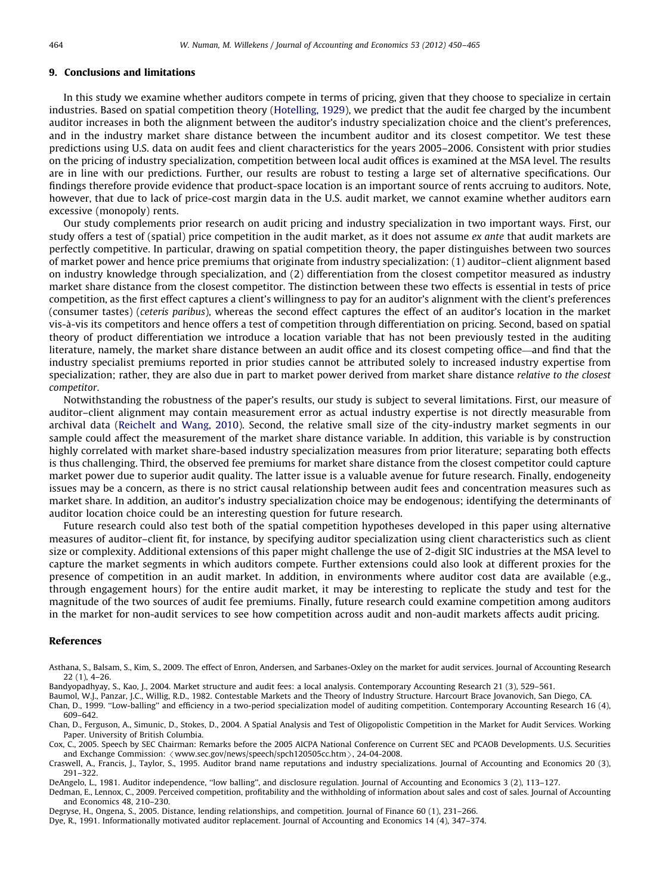## <span id="page-14-0"></span>9. Conclusions and limitations

In this study we examine whether auditors compete in terms of pricing, given that they choose to specialize in certain industries. Based on spatial competition theory [\(Hotelling, 1929](#page-15-0)), we predict that the audit fee charged by the incumbent auditor increases in both the alignment between the auditor's industry specialization choice and the client's preferences, and in the industry market share distance between the incumbent auditor and its closest competitor. We test these predictions using U.S. data on audit fees and client characteristics for the years 2005–2006. Consistent with prior studies on the pricing of industry specialization, competition between local audit offices is examined at the MSA level. The results are in line with our predictions. Further, our results are robust to testing a large set of alternative specifications. Our findings therefore provide evidence that product-space location is an important source of rents accruing to auditors. Note, however, that due to lack of price-cost margin data in the U.S. audit market, we cannot examine whether auditors earn excessive (monopoly) rents.

Our study complements prior research on audit pricing and industry specialization in two important ways. First, our study offers a test of (spatial) price competition in the audit market, as it does not assume ex ante that audit markets are perfectly competitive. In particular, drawing on spatial competition theory, the paper distinguishes between two sources of market power and hence price premiums that originate from industry specialization: (1) auditor–client alignment based on industry knowledge through specialization, and (2) differentiation from the closest competitor measured as industry market share distance from the closest competitor. The distinction between these two effects is essential in tests of price competition, as the first effect captures a client's willingness to pay for an auditor's alignment with the client's preferences (consumer tastes) (ceteris paribus), whereas the second effect captures the effect of an auditor's location in the market vis-a-vis its competitors and hence offers a test of competition through differentiation on pricing. Second, based on spatial theory of product differentiation we introduce a location variable that has not been previously tested in the auditing literature, namely, the market share distance between an audit office and its closest competing office—and find that the industry specialist premiums reported in prior studies cannot be attributed solely to increased industry expertise from specialization; rather, they are also due in part to market power derived from market share distance relative to the closest competitor.

Notwithstanding the robustness of the paper's results, our study is subject to several limitations. First, our measure of auditor–client alignment may contain measurement error as actual industry expertise is not directly measurable from archival data [\(Reichelt and Wang, 2010](#page-15-0)). Second, the relative small size of the city-industry market segments in our sample could affect the measurement of the market share distance variable. In addition, this variable is by construction highly correlated with market share-based industry specialization measures from prior literature; separating both effects is thus challenging. Third, the observed fee premiums for market share distance from the closest competitor could capture market power due to superior audit quality. The latter issue is a valuable avenue for future research. Finally, endogeneity issues may be a concern, as there is no strict causal relationship between audit fees and concentration measures such as market share. In addition, an auditor's industry specialization choice may be endogenous; identifying the determinants of auditor location choice could be an interesting question for future research.

Future research could also test both of the spatial competition hypotheses developed in this paper using alternative measures of auditor–client fit, for instance, by specifying auditor specialization using client characteristics such as client size or complexity. Additional extensions of this paper might challenge the use of 2-digit SIC industries at the MSA level to capture the market segments in which auditors compete. Further extensions could also look at different proxies for the presence of competition in an audit market. In addition, in environments where auditor cost data are available (e.g., through engagement hours) for the entire audit market, it may be interesting to replicate the study and test for the magnitude of the two sources of audit fee premiums. Finally, future research could examine competition among auditors in the market for non-audit services to see how competition across audit and non-audit markets affects audit pricing.

#### References

Asthana, S., Balsam, S., Kim, S., 2009. The effect of Enron, Andersen, and Sarbanes-Oxley on the market for audit services. Journal of Accounting Research 22 (1), 4–26.

Bandyopadhyay, S., Kao, J., 2004. Market structure and audit fees: a local analysis. Contemporary Accounting Research 21 (3), 529–561.

Baumol, W.J., Panzar, J.C., Willig, R.D., 1982. Contestable Markets and the Theory of Industry Structure. Harcourt Brace Jovanovich, San Diego, CA. Chan, D., 1999. ''Low-balling'' and efficiency in a two-period specialization model of auditing competition. Contemporary Accounting Research 16 (4), 609–642.

Chan, D., Ferguson, A., Simunic, D., Stokes, D., 2004. A Spatial Analysis and Test of Oligopolistic Competition in the Market for Audit Services. Working Paper. University of British Columbia.

Cox, C., 2005. Speech by SEC Chairman: Remarks before the 2005 AICPA National Conference on Current SEC and PCAOB Developments. U.S. Securities and Exchange Commission: < <www.sec.gov/news/speech/spch120505cc.htm> >, 24-04-2008.

Craswell, A., Francis, J., Taylor, S., 1995. Auditor brand name reputations and industry specializations. Journal of Accounting and Economics 20 (3), 291–322.

DeAngelo, L., 1981. Auditor independence, ''low balling'', and disclosure regulation. Journal of Accounting and Economics 3 (2), 113–127.

Dedman, E., Lennox, C., 2009. Perceived competition, profitability and the withholding of information about sales and cost of sales. Journal of Accounting and Economics 48, 210–230.

Degryse, H., Ongena, S., 2005. Distance, lending relationships, and competition. Journal of Finance 60 (1), 231–266.

Dye, R., 1991. Informationally motivated auditor replacement. Journal of Accounting and Economics 14 (4), 347–374.